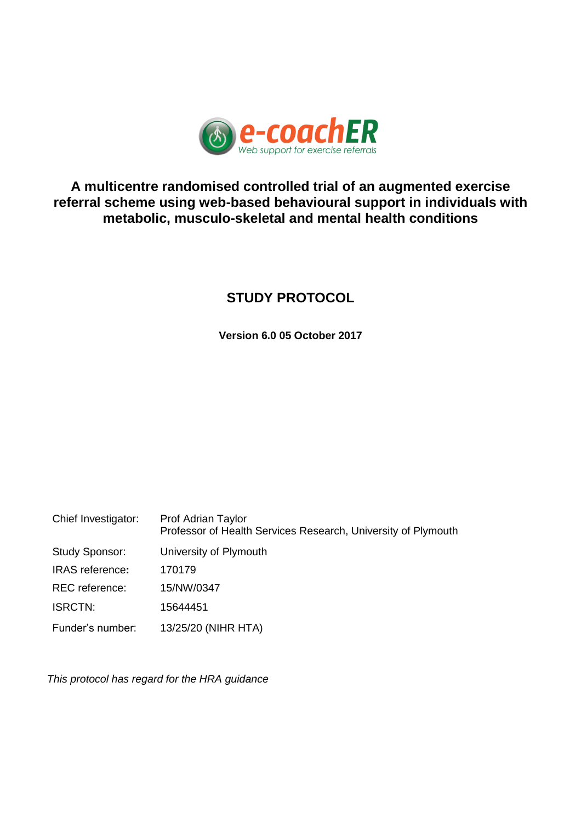

# **A multicentre randomised controlled trial of an augmented exercise referral scheme using web-based behavioural support in individuals with metabolic, musculo-skeletal and mental health conditions**

# **STUDY PROTOCOL**

**Version 6.0 05 October 2017**

| Chief Investigator:    | Prof Adrian Taylor<br>Professor of Health Services Research, University of Plymouth |
|------------------------|-------------------------------------------------------------------------------------|
| <b>Study Sponsor:</b>  | University of Plymouth                                                              |
| <b>IRAS</b> reference: | 170179                                                                              |
| <b>REC</b> reference:  | 15/NW/0347                                                                          |
| <b>ISRCTN:</b>         | 15644451                                                                            |
| Funder's number:       | 13/25/20 (NIHR HTA)                                                                 |

*This protocol has regard for the HRA guidance*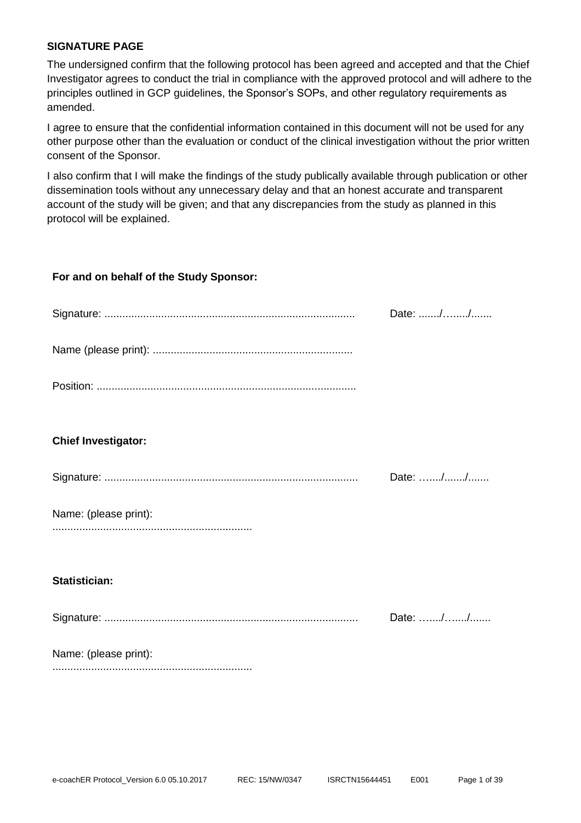#### <span id="page-1-0"></span>**SIGNATURE PAGE**

The undersigned confirm that the following protocol has been agreed and accepted and that the Chief Investigator agrees to conduct the trial in compliance with the approved protocol and will adhere to the principles outlined in GCP guidelines, the Sponsor's SOPs, and other regulatory requirements as amended.

I agree to ensure that the confidential information contained in this document will not be used for any other purpose other than the evaluation or conduct of the clinical investigation without the prior written consent of the Sponsor.

I also confirm that I will make the findings of the study publically available through publication or other dissemination tools without any unnecessary delay and that an honest accurate and transparent account of the study will be given; and that any discrepancies from the study as planned in this protocol will be explained.

#### **For and on behalf of the Study Sponsor:**

|                            | Date: // |
|----------------------------|----------|
|                            |          |
|                            |          |
|                            |          |
|                            |          |
| <b>Chief Investigator:</b> |          |
|                            | Date: // |
| Name: (please print):      |          |
|                            |          |
|                            |          |
| <b>Statistician:</b>       |          |
|                            | Date: // |
| Name: (please print):      |          |
|                            |          |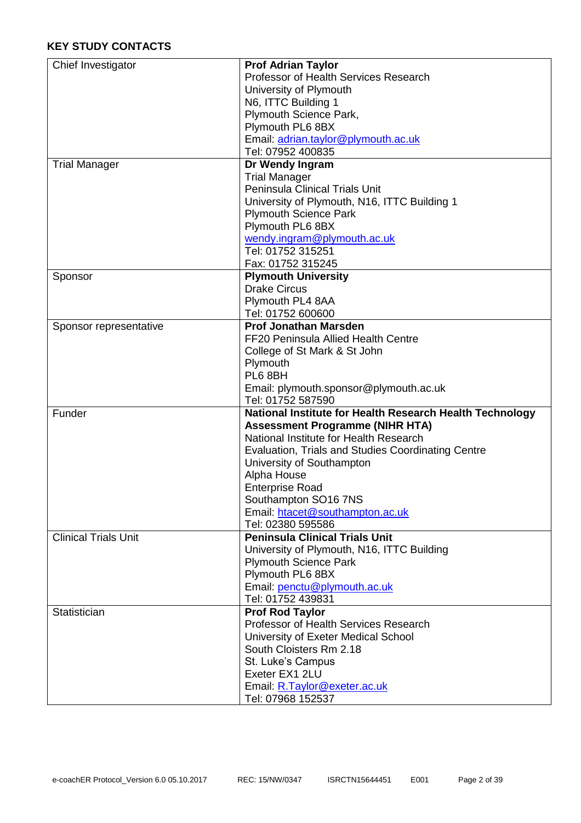<span id="page-2-0"></span>

| Chief Investigator          | <b>Prof Adrian Taylor</b>                                |
|-----------------------------|----------------------------------------------------------|
|                             | Professor of Health Services Research                    |
|                             | University of Plymouth                                   |
|                             | N6, ITTC Building 1                                      |
|                             | Plymouth Science Park,                                   |
|                             | Plymouth PL6 8BX                                         |
|                             | Email: adrian.taylor@plymouth.ac.uk                      |
|                             | Tel: 07952 400835                                        |
| <b>Trial Manager</b>        | Dr Wendy Ingram                                          |
|                             | <b>Trial Manager</b>                                     |
|                             | Peninsula Clinical Trials Unit                           |
|                             | University of Plymouth, N16, ITTC Building 1             |
|                             | <b>Plymouth Science Park</b>                             |
|                             | Plymouth PL6 8BX                                         |
|                             | wendy.ingram@plymouth.ac.uk                              |
|                             | Tel: 01752 315251                                        |
|                             |                                                          |
|                             | Fax: 01752 315245                                        |
| Sponsor                     | <b>Plymouth University</b>                               |
|                             | <b>Drake Circus</b>                                      |
|                             | Plymouth PL4 8AA                                         |
|                             | Tel: 01752 600600                                        |
| Sponsor representative      | <b>Prof Jonathan Marsden</b>                             |
|                             | FF20 Peninsula Allied Health Centre                      |
|                             | College of St Mark & St John                             |
|                             | Plymouth                                                 |
|                             | PL6 8BH                                                  |
|                             | Email: plymouth.sponsor@plymouth.ac.uk                   |
|                             | Tel: 01752 587590                                        |
| Funder                      | National Institute for Health Research Health Technology |
|                             | <b>Assessment Programme (NIHR HTA)</b>                   |
|                             | National Institute for Health Research                   |
|                             | Evaluation, Trials and Studies Coordinating Centre       |
|                             | University of Southampton                                |
|                             | Alpha House                                              |
|                             | <b>Enterprise Road</b>                                   |
|                             | Southampton SO16 7NS                                     |
|                             | Email: htacet@southampton.ac.uk                          |
|                             | Tel: 02380 595586                                        |
|                             |                                                          |
| <b>Clinical Trials Unit</b> | <b>Peninsula Clinical Trials Unit</b>                    |
|                             | University of Plymouth, N16, ITTC Building               |
|                             | <b>Plymouth Science Park</b>                             |
|                             | Plymouth PL6 8BX                                         |
|                             | Email: penctu@plymouth.ac.uk                             |
|                             | Tel: 01752 439831                                        |
| Statistician                | <b>Prof Rod Taylor</b>                                   |
|                             | Professor of Health Services Research                    |
|                             | University of Exeter Medical School                      |
|                             | South Cloisters Rm 2.18                                  |
|                             |                                                          |
|                             | St. Luke's Campus<br>Exeter EX1 2LU                      |
|                             |                                                          |
|                             | Email: R.Taylor@exeter.ac.uk<br>Tel: 07968 152537        |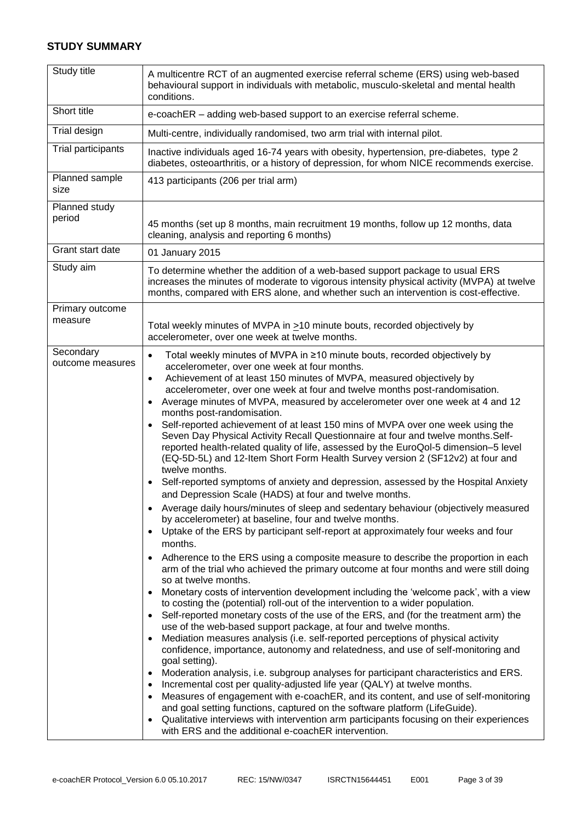#### **STUDY SUMMARY**

| Study title                   | A multicentre RCT of an augmented exercise referral scheme (ERS) using web-based<br>behavioural support in individuals with metabolic, musculo-skeletal and mental health<br>conditions.                                                                                                                                                                                                                                                                                                                                                                                                                                                                                                                                                                                                                                                                                                                                                                                                                                                                                                                                                                                                                                                                                                                                                                                                                                                                                                                                                                                                                                                                                                                                                                                                                                                                                                                                                                                                                                                                                                                                                                                                                                                                                                                                                                                                                                                                                                                                                                                             |
|-------------------------------|--------------------------------------------------------------------------------------------------------------------------------------------------------------------------------------------------------------------------------------------------------------------------------------------------------------------------------------------------------------------------------------------------------------------------------------------------------------------------------------------------------------------------------------------------------------------------------------------------------------------------------------------------------------------------------------------------------------------------------------------------------------------------------------------------------------------------------------------------------------------------------------------------------------------------------------------------------------------------------------------------------------------------------------------------------------------------------------------------------------------------------------------------------------------------------------------------------------------------------------------------------------------------------------------------------------------------------------------------------------------------------------------------------------------------------------------------------------------------------------------------------------------------------------------------------------------------------------------------------------------------------------------------------------------------------------------------------------------------------------------------------------------------------------------------------------------------------------------------------------------------------------------------------------------------------------------------------------------------------------------------------------------------------------------------------------------------------------------------------------------------------------------------------------------------------------------------------------------------------------------------------------------------------------------------------------------------------------------------------------------------------------------------------------------------------------------------------------------------------------------------------------------------------------------------------------------------------------|
| Short title                   | e-coachER - adding web-based support to an exercise referral scheme.                                                                                                                                                                                                                                                                                                                                                                                                                                                                                                                                                                                                                                                                                                                                                                                                                                                                                                                                                                                                                                                                                                                                                                                                                                                                                                                                                                                                                                                                                                                                                                                                                                                                                                                                                                                                                                                                                                                                                                                                                                                                                                                                                                                                                                                                                                                                                                                                                                                                                                                 |
| Trial design                  | Multi-centre, individually randomised, two arm trial with internal pilot.                                                                                                                                                                                                                                                                                                                                                                                                                                                                                                                                                                                                                                                                                                                                                                                                                                                                                                                                                                                                                                                                                                                                                                                                                                                                                                                                                                                                                                                                                                                                                                                                                                                                                                                                                                                                                                                                                                                                                                                                                                                                                                                                                                                                                                                                                                                                                                                                                                                                                                            |
| Trial participants            | Inactive individuals aged 16-74 years with obesity, hypertension, pre-diabetes, type 2<br>diabetes, osteoarthritis, or a history of depression, for whom NICE recommends exercise.                                                                                                                                                                                                                                                                                                                                                                                                                                                                                                                                                                                                                                                                                                                                                                                                                                                                                                                                                                                                                                                                                                                                                                                                                                                                                                                                                                                                                                                                                                                                                                                                                                                                                                                                                                                                                                                                                                                                                                                                                                                                                                                                                                                                                                                                                                                                                                                                   |
| Planned sample<br>size        | 413 participants (206 per trial arm)                                                                                                                                                                                                                                                                                                                                                                                                                                                                                                                                                                                                                                                                                                                                                                                                                                                                                                                                                                                                                                                                                                                                                                                                                                                                                                                                                                                                                                                                                                                                                                                                                                                                                                                                                                                                                                                                                                                                                                                                                                                                                                                                                                                                                                                                                                                                                                                                                                                                                                                                                 |
| Planned study<br>period       | 45 months (set up 8 months, main recruitment 19 months, follow up 12 months, data<br>cleaning, analysis and reporting 6 months)                                                                                                                                                                                                                                                                                                                                                                                                                                                                                                                                                                                                                                                                                                                                                                                                                                                                                                                                                                                                                                                                                                                                                                                                                                                                                                                                                                                                                                                                                                                                                                                                                                                                                                                                                                                                                                                                                                                                                                                                                                                                                                                                                                                                                                                                                                                                                                                                                                                      |
| Grant start date              | 01 January 2015                                                                                                                                                                                                                                                                                                                                                                                                                                                                                                                                                                                                                                                                                                                                                                                                                                                                                                                                                                                                                                                                                                                                                                                                                                                                                                                                                                                                                                                                                                                                                                                                                                                                                                                                                                                                                                                                                                                                                                                                                                                                                                                                                                                                                                                                                                                                                                                                                                                                                                                                                                      |
| Study aim                     | To determine whether the addition of a web-based support package to usual ERS<br>increases the minutes of moderate to vigorous intensity physical activity (MVPA) at twelve<br>months, compared with ERS alone, and whether such an intervention is cost-effective.                                                                                                                                                                                                                                                                                                                                                                                                                                                                                                                                                                                                                                                                                                                                                                                                                                                                                                                                                                                                                                                                                                                                                                                                                                                                                                                                                                                                                                                                                                                                                                                                                                                                                                                                                                                                                                                                                                                                                                                                                                                                                                                                                                                                                                                                                                                  |
| Primary outcome<br>measure    | Total weekly minutes of MVPA in >10 minute bouts, recorded objectively by<br>accelerometer, over one week at twelve months.                                                                                                                                                                                                                                                                                                                                                                                                                                                                                                                                                                                                                                                                                                                                                                                                                                                                                                                                                                                                                                                                                                                                                                                                                                                                                                                                                                                                                                                                                                                                                                                                                                                                                                                                                                                                                                                                                                                                                                                                                                                                                                                                                                                                                                                                                                                                                                                                                                                          |
| Secondary<br>outcome measures | Total weekly minutes of MVPA in ≥10 minute bouts, recorded objectively by<br>$\bullet$<br>accelerometer, over one week at four months.<br>Achievement of at least 150 minutes of MVPA, measured objectively by<br>$\bullet$<br>accelerometer, over one week at four and twelve months post-randomisation.<br>Average minutes of MVPA, measured by accelerometer over one week at 4 and 12<br>$\bullet$<br>months post-randomisation.<br>Self-reported achievement of at least 150 mins of MVPA over one week using the<br>$\bullet$<br>Seven Day Physical Activity Recall Questionnaire at four and twelve months.Self-<br>reported health-related quality of life, assessed by the EuroQol-5 dimension-5 level<br>(EQ-5D-5L) and 12-Item Short Form Health Survey version 2 (SF12v2) at four and<br>twelve months.<br>Self-reported symptoms of anxiety and depression, assessed by the Hospital Anxiety<br>$\bullet$<br>and Depression Scale (HADS) at four and twelve months.<br>Average daily hours/minutes of sleep and sedentary behaviour (objectively measured<br>by accelerometer) at baseline, four and twelve months.<br>Uptake of the ERS by participant self-report at approximately four weeks and four<br>$\bullet$<br>months.<br>Adherence to the ERS using a composite measure to describe the proportion in each<br>$\bullet$<br>arm of the trial who achieved the primary outcome at four months and were still doing<br>so at twelve months.<br>Monetary costs of intervention development including the 'welcome pack', with a view<br>$\bullet$<br>to costing the (potential) roll-out of the intervention to a wider population.<br>Self-reported monetary costs of the use of the ERS, and (for the treatment arm) the<br>$\bullet$<br>use of the web-based support package, at four and twelve months.<br>Mediation measures analysis (i.e. self-reported perceptions of physical activity<br>$\bullet$<br>confidence, importance, autonomy and relatedness, and use of self-monitoring and<br>goal setting).<br>Moderation analysis, i.e. subgroup analyses for participant characteristics and ERS.<br>$\bullet$<br>Incremental cost per quality-adjusted life year (QALY) at twelve months.<br>$\bullet$<br>Measures of engagement with e-coachER, and its content, and use of self-monitoring<br>$\bullet$<br>and goal setting functions, captured on the software platform (LifeGuide).<br>Qualitative interviews with intervention arm participants focusing on their experiences<br>$\bullet$<br>with ERS and the additional e-coachER intervention. |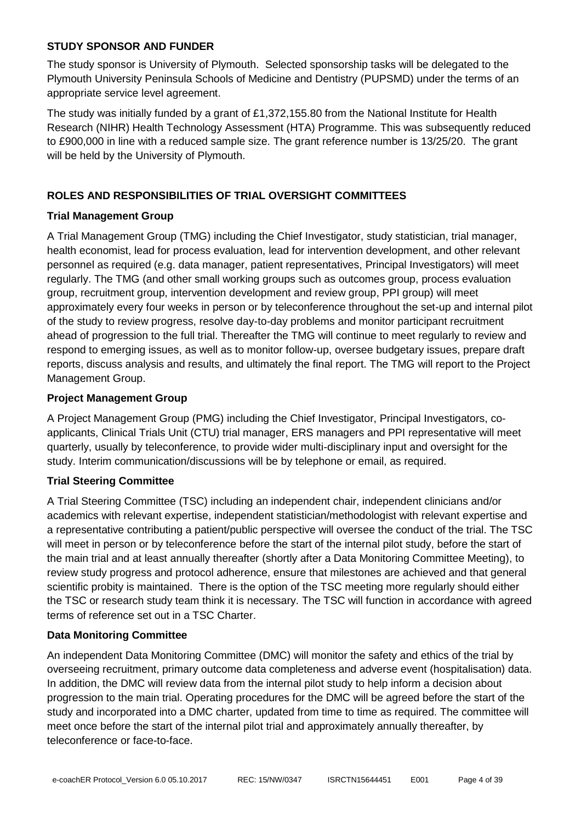# **STUDY SPONSOR AND FUNDER**

The study sponsor is University of Plymouth. Selected sponsorship tasks will be delegated to the Plymouth University Peninsula Schools of Medicine and Dentistry (PUPSMD) under the terms of an appropriate service level agreement.

The study was initially funded by a grant of £1,372,155.80 from the National Institute for Health Research (NIHR) Health Technology Assessment (HTA) Programme. This was subsequently reduced to £900,000 in line with a reduced sample size. The grant reference number is 13/25/20. The grant will be held by the University of Plymouth.

# <span id="page-4-0"></span>**ROLES AND RESPONSIBILITIES OF TRIAL OVERSIGHT COMMITTEES**

#### **Trial Management Group**

A Trial Management Group (TMG) including the Chief Investigator, study statistician, trial manager, health economist, lead for process evaluation, lead for intervention development, and other relevant personnel as required (e.g. data manager, patient representatives, Principal Investigators) will meet regularly. The TMG (and other small working groups such as outcomes group, process evaluation group, recruitment group, intervention development and review group, PPI group) will meet approximately every four weeks in person or by teleconference throughout the set-up and internal pilot of the study to review progress, resolve day-to-day problems and monitor participant recruitment ahead of progression to the full trial. Thereafter the TMG will continue to meet regularly to review and respond to emerging issues, as well as to monitor follow-up, oversee budgetary issues, prepare draft reports, discuss analysis and results, and ultimately the final report. The TMG will report to the Project Management Group.

#### **Project Management Group**

A Project Management Group (PMG) including the Chief Investigator, Principal Investigators, coapplicants, Clinical Trials Unit (CTU) trial manager, ERS managers and PPI representative will meet quarterly, usually by teleconference, to provide wider multi-disciplinary input and oversight for the study. Interim communication/discussions will be by telephone or email, as required.

# **Trial Steering Committee**

A Trial Steering Committee (TSC) including an independent chair, independent clinicians and/or academics with relevant expertise, independent statistician/methodologist with relevant expertise and a representative contributing a patient/public perspective will oversee the conduct of the trial. The TSC will meet in person or by teleconference before the start of the internal pilot study, before the start of the main trial and at least annually thereafter (shortly after a Data Monitoring Committee Meeting), to review study progress and protocol adherence, ensure that milestones are achieved and that general scientific probity is maintained. There is the option of the TSC meeting more regularly should either the TSC or research study team think it is necessary. The TSC will function in accordance with agreed terms of reference set out in a TSC Charter.

#### **Data Monitoring Committee**

An independent Data Monitoring Committee (DMC) will monitor the safety and ethics of the trial by overseeing recruitment, primary outcome data completeness and adverse event (hospitalisation) data. In addition, the DMC will review data from the internal pilot study to help inform a decision about progression to the main trial. Operating procedures for the DMC will be agreed before the start of the study and incorporated into a DMC charter, updated from time to time as required. The committee will meet once before the start of the internal pilot trial and approximately annually thereafter, by teleconference or face-to-face.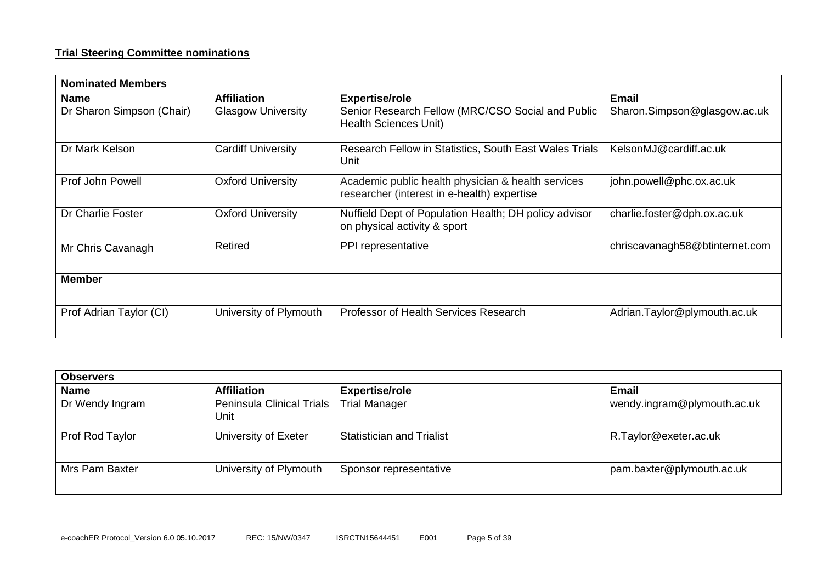#### **Trial Steering Committee nominations**

| <b>Nominated Members</b>  |                           |                                                                                                   |                                |  |
|---------------------------|---------------------------|---------------------------------------------------------------------------------------------------|--------------------------------|--|
| <b>Name</b>               | <b>Affiliation</b>        | <b>Expertise/role</b>                                                                             | <b>Email</b>                   |  |
| Dr Sharon Simpson (Chair) | <b>Glasgow University</b> | Senior Research Fellow (MRC/CSO Social and Public<br><b>Health Sciences Unit)</b>                 | Sharon.Simpson@glasgow.ac.uk   |  |
| Dr Mark Kelson            | <b>Cardiff University</b> | Research Fellow in Statistics, South East Wales Trials<br>Unit                                    | KelsonMJ@cardiff.ac.uk         |  |
| Prof John Powell          | <b>Oxford University</b>  | Academic public health physician & health services<br>researcher (interest in e-health) expertise | john.powell@phc.ox.ac.uk       |  |
| Dr Charlie Foster         | <b>Oxford University</b>  | Nuffield Dept of Population Health; DH policy advisor<br>on physical activity & sport             | charlie.foster@dph.ox.ac.uk    |  |
| Mr Chris Cavanagh         | <b>Retired</b>            | PPI representative                                                                                | chriscavanagh58@btinternet.com |  |
| <b>Member</b>             |                           |                                                                                                   |                                |  |
| Prof Adrian Taylor (CI)   | University of Plymouth    | Professor of Health Services Research                                                             | Adrian.Taylor@plymouth.ac.uk   |  |

| <b>Observers</b> |                                     |                                  |                             |  |
|------------------|-------------------------------------|----------------------------------|-----------------------------|--|
| <b>Name</b>      | <b>Affiliation</b>                  | <b>Expertise/role</b>            | Email                       |  |
| Dr Wendy Ingram  | Peninsula Clinical Trials  <br>Unit | <b>Trial Manager</b>             | wendy.ingram@plymouth.ac.uk |  |
| Prof Rod Taylor  | University of Exeter                | <b>Statistician and Trialist</b> | R.Taylor@exeter.ac.uk       |  |
| Mrs Pam Baxter   | University of Plymouth              | Sponsor representative           | pam.baxter@plymouth.ac.uk   |  |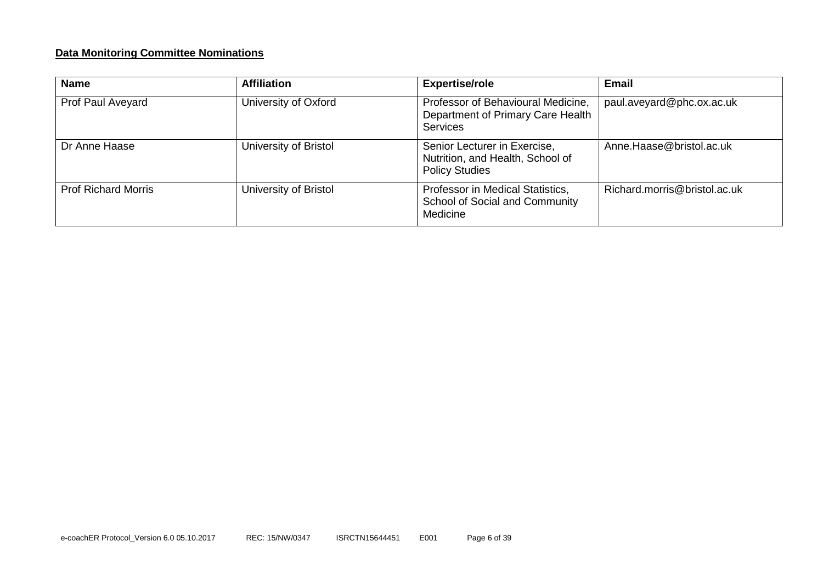#### **Data Monitoring Committee Nominations**

| <b>Name</b>                | <b>Affiliation</b>    | <b>Expertise/role</b>                                                                      | <b>Email</b>                 |
|----------------------------|-----------------------|--------------------------------------------------------------------------------------------|------------------------------|
| Prof Paul Aveyard          | University of Oxford  | Professor of Behavioural Medicine,<br>Department of Primary Care Health<br><b>Services</b> | paul.aveyard@phc.ox.ac.uk    |
| Dr Anne Haase              | University of Bristol | Senior Lecturer in Exercise,<br>Nutrition, and Health, School of<br><b>Policy Studies</b>  | Anne.Haase@bristol.ac.uk     |
| <b>Prof Richard Morris</b> | University of Bristol | Professor in Medical Statistics,<br>School of Social and Community<br>Medicine             | Richard.morris@bristol.ac.uk |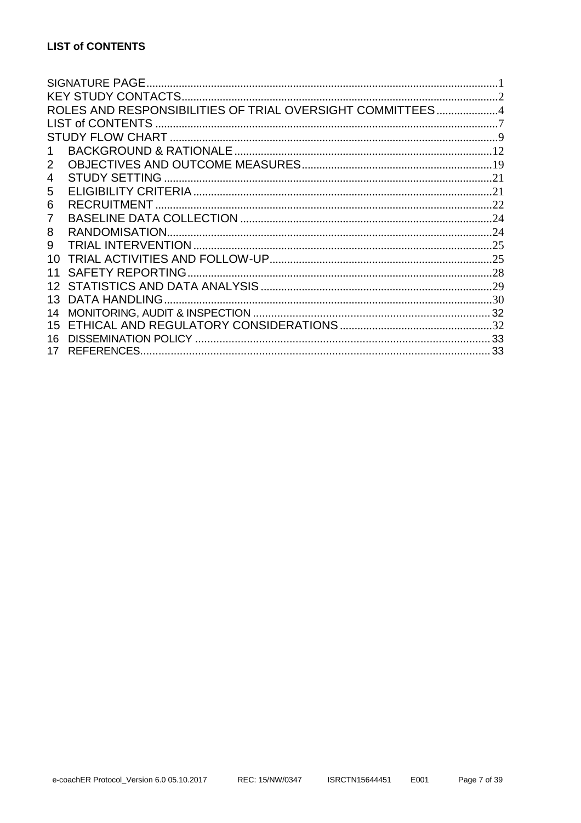<span id="page-7-0"></span>

| ROLES AND RESPONSIBILITIES OF TRIAL OVERSIGHT COMMITTEES4 |  |
|-----------------------------------------------------------|--|
|                                                           |  |
|                                                           |  |
|                                                           |  |
| 2                                                         |  |
| 4                                                         |  |
| 5                                                         |  |
| 6                                                         |  |
| 7                                                         |  |
| 8                                                         |  |
| 9                                                         |  |
| 10                                                        |  |
| <b>SAFETY REPORTING</b>                                   |  |
|                                                           |  |
| <b>DATA HANDLING</b><br>13                                |  |
| 14                                                        |  |
| 15                                                        |  |
| 16                                                        |  |
| <b>REFERENCES</b><br>17                                   |  |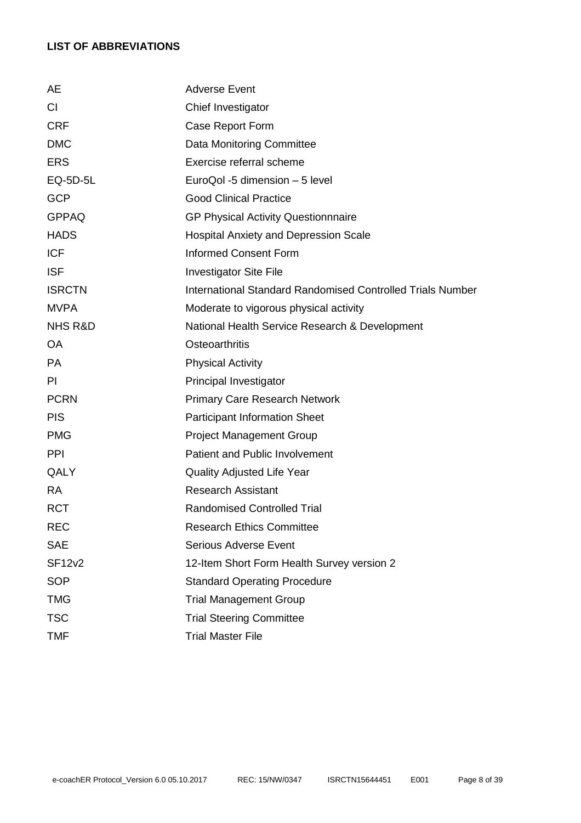# **LIST OF ABBREVIATIONS**

| AE                 | <b>Adverse Event</b>                                              |  |  |
|--------------------|-------------------------------------------------------------------|--|--|
| CI                 | Chief Investigator                                                |  |  |
| <b>CRF</b>         | Case Report Form                                                  |  |  |
| <b>DMC</b>         | Data Monitoring Committee                                         |  |  |
| <b>ERS</b>         | Exercise referral scheme                                          |  |  |
| EQ-5D-5L           | EuroQol -5 dimension - 5 level                                    |  |  |
| <b>GCP</b>         | <b>Good Clinical Practice</b>                                     |  |  |
| <b>GPPAQ</b>       | <b>GP Physical Activity Questionnnaire</b>                        |  |  |
| <b>HADS</b>        | <b>Hospital Anxiety and Depression Scale</b>                      |  |  |
| <b>ICF</b>         | <b>Informed Consent Form</b>                                      |  |  |
| <b>ISF</b>         | <b>Investigator Site File</b>                                     |  |  |
| <b>ISRCTN</b>      | <b>International Standard Randomised Controlled Trials Number</b> |  |  |
| <b>MVPA</b>        | Moderate to vigorous physical activity                            |  |  |
| <b>NHS R&amp;D</b> | National Health Service Research & Development                    |  |  |
| <b>OA</b>          | <b>Osteoarthritis</b>                                             |  |  |
| <b>PA</b>          | <b>Physical Activity</b>                                          |  |  |
| PI                 | Principal Investigator                                            |  |  |
| <b>PCRN</b>        | <b>Primary Care Research Network</b>                              |  |  |
| <b>PIS</b>         | <b>Participant Information Sheet</b>                              |  |  |
| <b>PMG</b>         | <b>Project Management Group</b>                                   |  |  |
| <b>PPI</b>         | <b>Patient and Public Involvement</b>                             |  |  |
| QALY               | <b>Quality Adjusted Life Year</b>                                 |  |  |
| <b>RA</b>          | <b>Research Assistant</b>                                         |  |  |
| <b>RCT</b>         | <b>Randomised Controlled Trial</b>                                |  |  |
| <b>REC</b>         | <b>Research Ethics Committee</b>                                  |  |  |
| <b>SAE</b>         | <b>Serious Adverse Event</b>                                      |  |  |
| <b>SF12v2</b>      | 12-Item Short Form Health Survey version 2                        |  |  |
| <b>SOP</b>         | <b>Standard Operating Procedure</b>                               |  |  |
| <b>TMG</b>         | <b>Trial Management Group</b>                                     |  |  |
| <b>TSC</b>         | <b>Trial Steering Committee</b>                                   |  |  |
| <b>TMF</b>         | <b>Trial Master File</b>                                          |  |  |
|                    |                                                                   |  |  |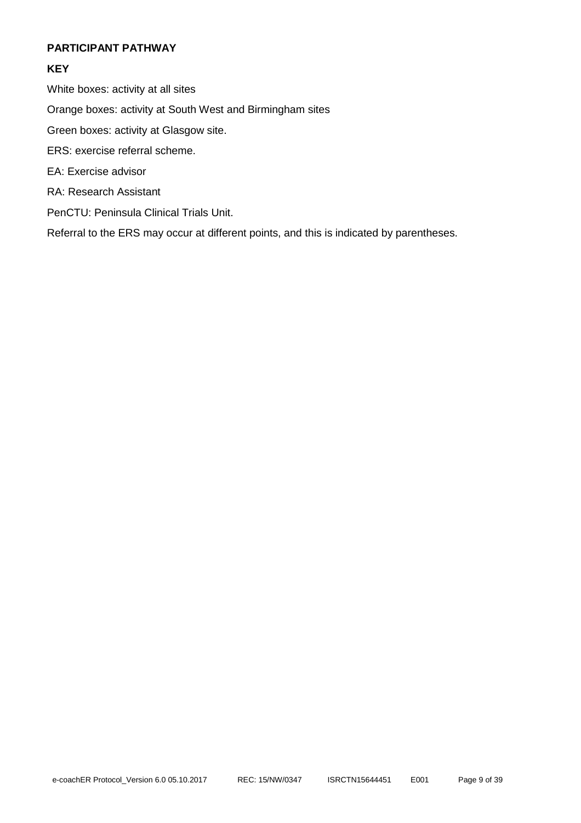#### <span id="page-9-0"></span>**PARTICIPANT PATHWAY**

# **KEY**

White boxes: activity at all sites

Orange boxes: activity at South West and Birmingham sites

Green boxes: activity at Glasgow site.

- ERS: exercise referral scheme.
- EA: Exercise advisor
- RA: Research Assistant
- PenCTU: Peninsula Clinical Trials Unit.

Referral to the ERS may occur at different points, and this is indicated by parentheses.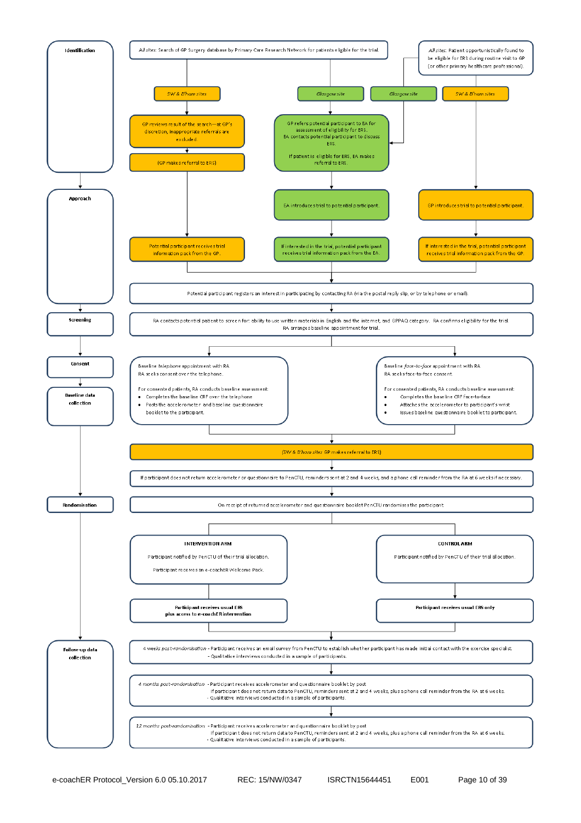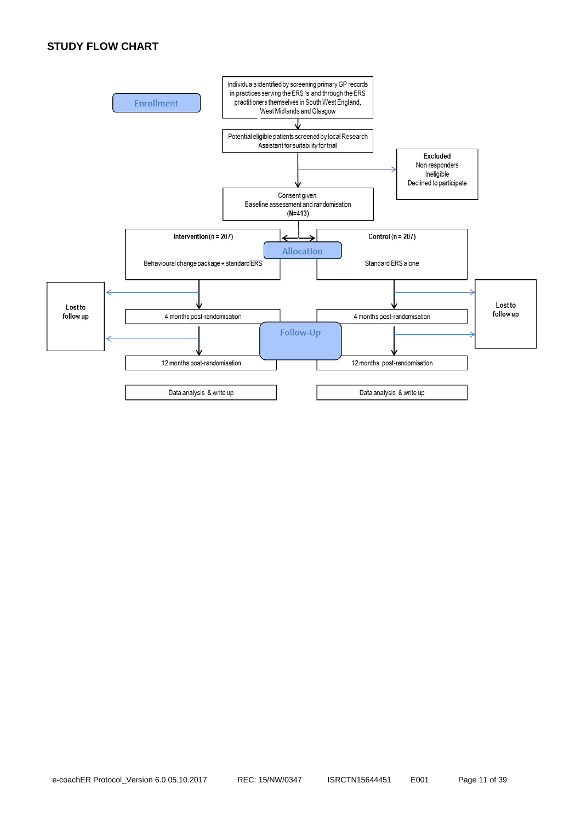# **STUDY FLOW CHART**

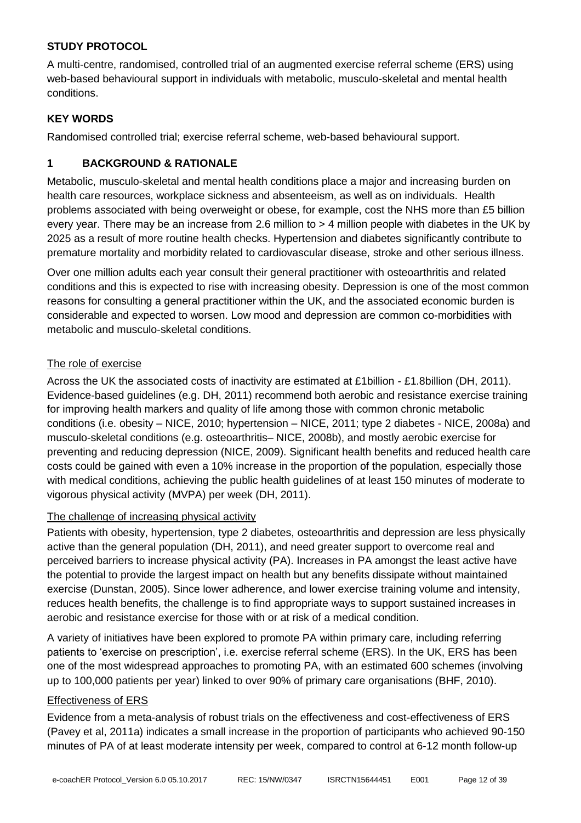# **STUDY PROTOCOL**

A multi-centre, randomised, controlled trial of an augmented exercise referral scheme (ERS) using web-based behavioural support in individuals with metabolic, musculo-skeletal and mental health conditions.

#### **KEY WORDS**

Randomised controlled trial; exercise referral scheme, web-based behavioural support.

# <span id="page-12-0"></span>**1 BACKGROUND & RATIONALE**

Metabolic, musculo-skeletal and mental health conditions place a major and increasing burden on health care resources, workplace sickness and absenteeism, as well as on individuals. Health problems associated with being overweight or obese, for example, cost the NHS more than £5 billion every year. There may be an increase from 2.6 million to > 4 million people with diabetes in the UK by 2025 as a result of more routine health checks. Hypertension and diabetes significantly contribute to premature mortality and morbidity related to cardiovascular disease, stroke and other serious illness.

Over one million adults each year consult their general practitioner with osteoarthritis and related conditions and this is expected to rise with increasing obesity. Depression is one of the most common reasons for consulting a general practitioner within the UK, and the associated economic burden is considerable and expected to worsen. Low mood and depression are common co-morbidities with metabolic and musculo-skeletal conditions.

# The role of exercise

Across the UK the associated costs of inactivity are estimated at £1billion - £1.8billion (DH, 2011). Evidence-based guidelines (e.g. DH, 2011) recommend both aerobic and resistance exercise training for improving health markers and quality of life among those with common chronic metabolic conditions (i.e. obesity – NICE, 2010; hypertension – NICE, 2011; type 2 diabetes - NICE, 2008a) and musculo-skeletal conditions (e.g. osteoarthritis– NICE, 2008b), and mostly aerobic exercise for preventing and reducing depression (NICE, 2009). Significant health benefits and reduced health care costs could be gained with even a 10% increase in the proportion of the population, especially those with medical conditions, achieving the public health guidelines of at least 150 minutes of moderate to vigorous physical activity (MVPA) per week (DH, 2011).

# The challenge of increasing physical activity

Patients with obesity, hypertension, type 2 diabetes, osteoarthritis and depression are less physically active than the general population (DH, 2011), and need greater support to overcome real and perceived barriers to increase physical activity (PA). Increases in PA amongst the least active have the potential to provide the largest impact on health but any benefits dissipate without maintained exercise (Dunstan, 2005). Since lower adherence, and lower exercise training volume and intensity, reduces health benefits, the challenge is to find appropriate ways to support sustained increases in aerobic and resistance exercise for those with or at risk of a medical condition.

A variety of initiatives have been explored to promote PA within primary care, including referring patients to 'exercise on prescription', i.e. exercise referral scheme (ERS). In the UK, ERS has been one of the most widespread approaches to promoting PA, with an estimated 600 schemes (involving up to 100,000 patients per year) linked to over 90% of primary care organisations (BHF, 2010).

#### Effectiveness of ERS

Evidence from a meta-analysis of robust trials on the effectiveness and cost-effectiveness of ERS (Pavey et al, 2011a) indicates a small increase in the proportion of participants who achieved 90-150 minutes of PA of at least moderate intensity per week, compared to control at 6-12 month follow-up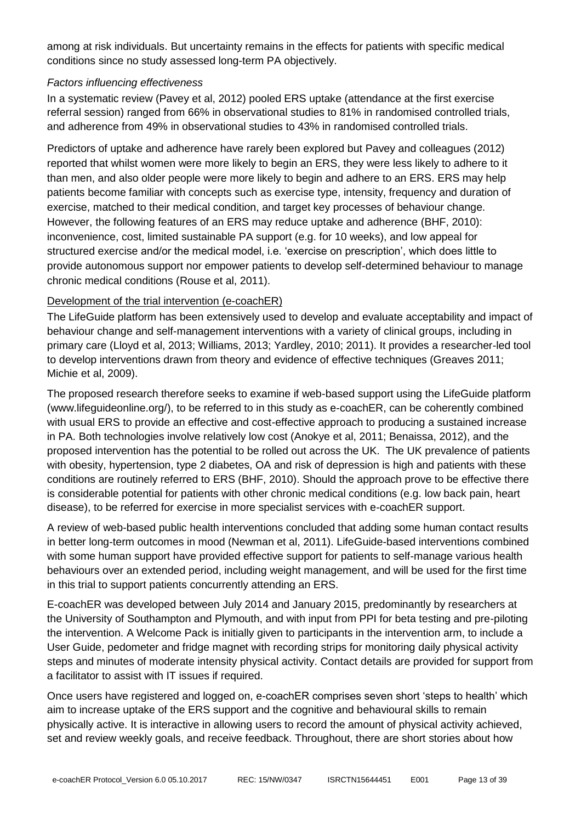among at risk individuals. But uncertainty remains in the effects for patients with specific medical conditions since no study assessed long-term PA objectively.

#### *Factors influencing effectiveness*

In a systematic review (Pavey et al, 2012) pooled ERS uptake (attendance at the first exercise referral session) ranged from 66% in observational studies to 81% in randomised controlled trials, and adherence from 49% in observational studies to 43% in randomised controlled trials.

Predictors of uptake and adherence have rarely been explored but Pavey and colleagues (2012) reported that whilst women were more likely to begin an ERS, they were less likely to adhere to it than men, and also older people were more likely to begin and adhere to an ERS. ERS may help patients become familiar with concepts such as exercise type, intensity, frequency and duration of exercise, matched to their medical condition, and target key processes of behaviour change. However, the following features of an ERS may reduce uptake and adherence (BHF, 2010): inconvenience, cost, limited sustainable PA support (e.g. for 10 weeks), and low appeal for structured exercise and/or the medical model, i.e. 'exercise on prescription', which does little to provide autonomous support nor empower patients to develop self-determined behaviour to manage chronic medical conditions (Rouse et al, 2011).

# Development of the trial intervention (e-coachER)

The LifeGuide platform has been extensively used to develop and evaluate acceptability and impact of behaviour change and self-management interventions with a variety of clinical groups, including in primary care (Lloyd et al, 2013; Williams, 2013; Yardley, 2010; 2011). It provides a researcher-led tool to develop interventions drawn from theory and evidence of effective techniques (Greaves 2011; Michie et al, 2009).

The proposed research therefore seeks to examine if web-based support using the LifeGuide platform (www.lifeguideonline.org/), to be referred to in this study as e-coachER, can be coherently combined with usual ERS to provide an effective and cost-effective approach to producing a sustained increase in PA. Both technologies involve relatively low cost (Anokye et al, 2011; Benaissa, 2012), and the proposed intervention has the potential to be rolled out across the UK. The UK prevalence of patients with obesity, hypertension, type 2 diabetes, OA and risk of depression is high and patients with these conditions are routinely referred to ERS (BHF, 2010). Should the approach prove to be effective there is considerable potential for patients with other chronic medical conditions (e.g. low back pain, heart disease), to be referred for exercise in more specialist services with e-coachER support.

A review of web-based public health interventions concluded that adding some human contact results in better long-term outcomes in mood (Newman et al, 2011). LifeGuide-based interventions combined with some human support have provided effective support for patients to self-manage various health behaviours over an extended period, including weight management, and will be used for the first time in this trial to support patients concurrently attending an ERS.

E-coachER was developed between July 2014 and January 2015, predominantly by researchers at the University of Southampton and Plymouth, and with input from PPI for beta testing and pre-piloting the intervention. A Welcome Pack is initially given to participants in the intervention arm, to include a User Guide, pedometer and fridge magnet with recording strips for monitoring daily physical activity steps and minutes of moderate intensity physical activity. Contact details are provided for support from a facilitator to assist with IT issues if required.

Once users have registered and logged on, e-coachER comprises seven short 'steps to health' which aim to increase uptake of the ERS support and the cognitive and behavioural skills to remain physically active. It is interactive in allowing users to record the amount of physical activity achieved, set and review weekly goals, and receive feedback. Throughout, there are short stories about how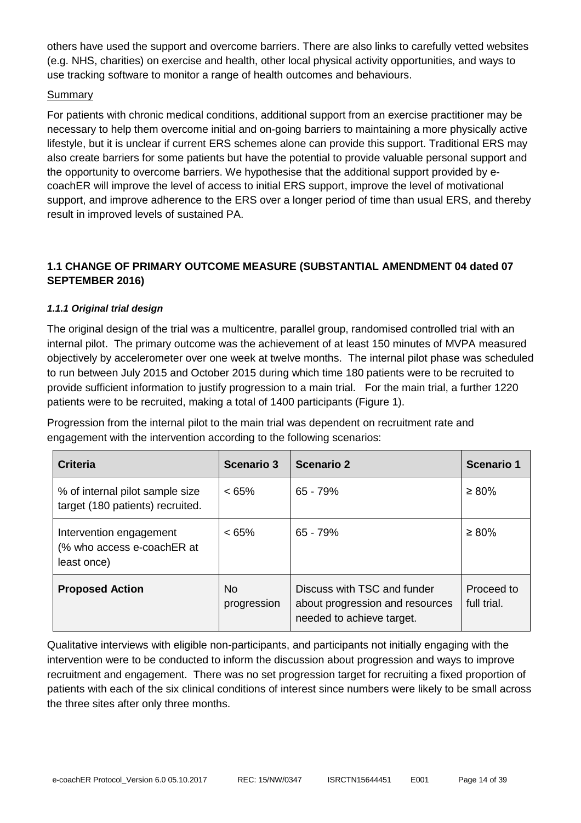others have used the support and overcome barriers. There are also links to carefully vetted websites (e.g. NHS, charities) on exercise and health, other local physical activity opportunities, and ways to use tracking software to monitor a range of health outcomes and behaviours.

#### Summary

For patients with chronic medical conditions, additional support from an exercise practitioner may be necessary to help them overcome initial and on-going barriers to maintaining a more physically active lifestyle, but it is unclear if current ERS schemes alone can provide this support. Traditional ERS may also create barriers for some patients but have the potential to provide valuable personal support and the opportunity to overcome barriers. We hypothesise that the additional support provided by ecoachER will improve the level of access to initial ERS support, improve the level of motivational support, and improve adherence to the ERS over a longer period of time than usual ERS, and thereby result in improved levels of sustained PA.

# **1.1 CHANGE OF PRIMARY OUTCOME MEASURE (SUBSTANTIAL AMENDMENT 04 dated 07 SEPTEMBER 2016)**

#### *1.1.1 Original trial design*

The original design of the trial was a multicentre, parallel group, randomised controlled trial with an internal pilot. The primary outcome was the achievement of at least 150 minutes of MVPA measured objectively by accelerometer over one week at twelve months. The internal pilot phase was scheduled to run between July 2015 and October 2015 during which time 180 patients were to be recruited to provide sufficient information to justify progression to a main trial. For the main trial, a further 1220 patients were to be recruited, making a total of 1400 participants (Figure 1).

Progression from the internal pilot to the main trial was dependent on recruitment rate and engagement with the intervention according to the following scenarios:

| Criteria                                                             | Scenario 3         | <b>Scenario 2</b>                                                                           | <b>Scenario 1</b>         |
|----------------------------------------------------------------------|--------------------|---------------------------------------------------------------------------------------------|---------------------------|
| % of internal pilot sample size<br>target (180 patients) recruited.  | $< 65\%$           | 65 - 79%                                                                                    | $\geq 80\%$               |
| Intervention engagement<br>(% who access e-coachER at<br>least once) | $< 65\%$           | 65 - 79%                                                                                    | $\geq 80\%$               |
| <b>Proposed Action</b>                                               | No.<br>progression | Discuss with TSC and funder<br>about progression and resources<br>needed to achieve target. | Proceed to<br>full trial. |

Qualitative interviews with eligible non-participants, and participants not initially engaging with the intervention were to be conducted to inform the discussion about progression and ways to improve recruitment and engagement. There was no set progression target for recruiting a fixed proportion of patients with each of the six clinical conditions of interest since numbers were likely to be small across the three sites after only three months.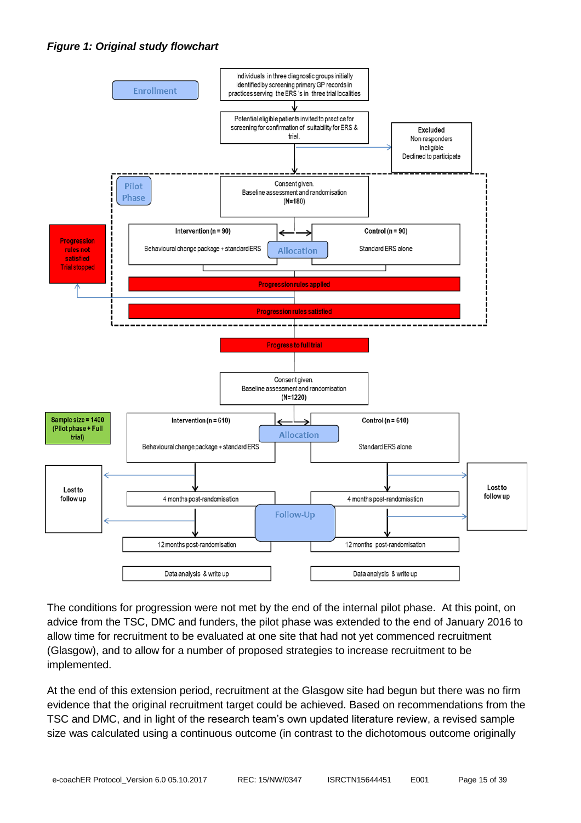



The conditions for progression were not met by the end of the internal pilot phase. At this point, on advice from the TSC, DMC and funders, the pilot phase was extended to the end of January 2016 to allow time for recruitment to be evaluated at one site that had not yet commenced recruitment (Glasgow), and to allow for a number of proposed strategies to increase recruitment to be implemented.

At the end of this extension period, recruitment at the Glasgow site had begun but there was no firm evidence that the original recruitment target could be achieved. Based on recommendations from the TSC and DMC, and in light of the research team's own updated literature review, a revised sample size was calculated using a continuous outcome (in contrast to the dichotomous outcome originally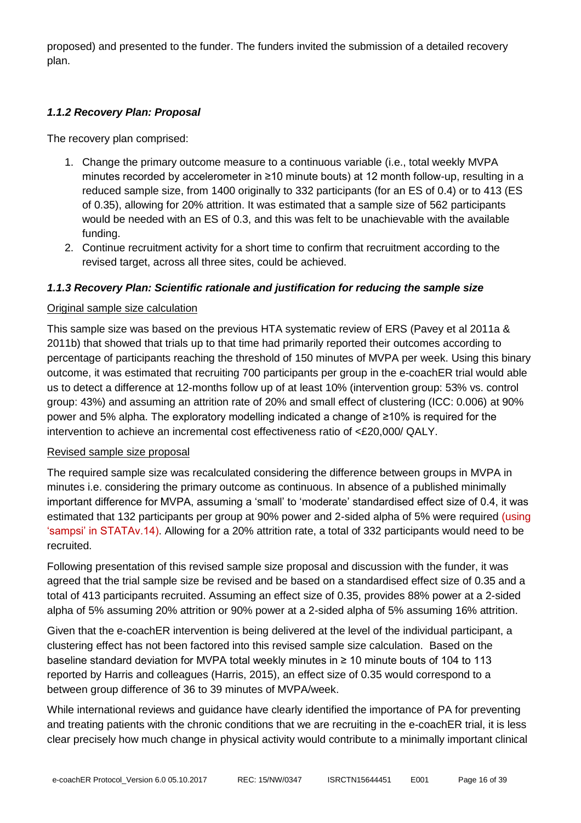proposed) and presented to the funder. The funders invited the submission of a detailed recovery plan.

# *1.1.2 Recovery Plan: Proposal*

The recovery plan comprised:

- 1. Change the primary outcome measure to a continuous variable (i.e., total weekly MVPA minutes recorded by accelerometer in ≥10 minute bouts) at 12 month follow-up, resulting in a reduced sample size, from 1400 originally to 332 participants (for an ES of 0.4) or to 413 (ES of 0.35), allowing for 20% attrition. It was estimated that a sample size of 562 participants would be needed with an ES of 0.3, and this was felt to be unachievable with the available funding.
- 2. Continue recruitment activity for a short time to confirm that recruitment according to the revised target, across all three sites, could be achieved.

#### *1.1.3 Recovery Plan: Scientific rationale and justification for reducing the sample size*

#### Original sample size calculation

This sample size was based on the previous HTA systematic review of ERS (Pavey et al 2011a & 2011b) that showed that trials up to that time had primarily reported their outcomes according to percentage of participants reaching the threshold of 150 minutes of MVPA per week. Using this binary outcome, it was estimated that recruiting 700 participants per group in the e-coachER trial would able us to detect a difference at 12-months follow up of at least 10% (intervention group: 53% vs. control group: 43%) and assuming an attrition rate of 20% and small effect of clustering (ICC: 0.006) at 90% power and 5% alpha. The exploratory modelling indicated a change of ≥10% is required for the intervention to achieve an incremental cost effectiveness ratio of <£20,000/ QALY.

#### Revised sample size proposal

The required sample size was recalculated considering the difference between groups in MVPA in minutes i.e. considering the primary outcome as continuous. In absence of a published minimally important difference for MVPA, assuming a 'small' to 'moderate' standardised effect size of 0.4, it was estimated that 132 participants per group at 90% power and 2-sided alpha of 5% were required (using 'sampsi' in STATAv.14). Allowing for a 20% attrition rate, a total of 332 participants would need to be recruited.

Following presentation of this revised sample size proposal and discussion with the funder, it was agreed that the trial sample size be revised and be based on a standardised effect size of 0.35 and a total of 413 participants recruited. Assuming an effect size of 0.35, provides 88% power at a 2-sided alpha of 5% assuming 20% attrition or 90% power at a 2-sided alpha of 5% assuming 16% attrition.

Given that the e-coachER intervention is being delivered at the level of the individual participant, a clustering effect has not been factored into this revised sample size calculation. Based on the baseline standard deviation for MVPA total weekly minutes in ≥ 10 minute bouts of 104 to 113 reported by Harris and colleagues (Harris, 2015), an effect size of 0.35 would correspond to a between group difference of 36 to 39 minutes of MVPA/week.

While international reviews and guidance have clearly identified the importance of PA for preventing and treating patients with the chronic conditions that we are recruiting in the e-coachER trial, it is less clear precisely how much change in physical activity would contribute to a minimally important clinical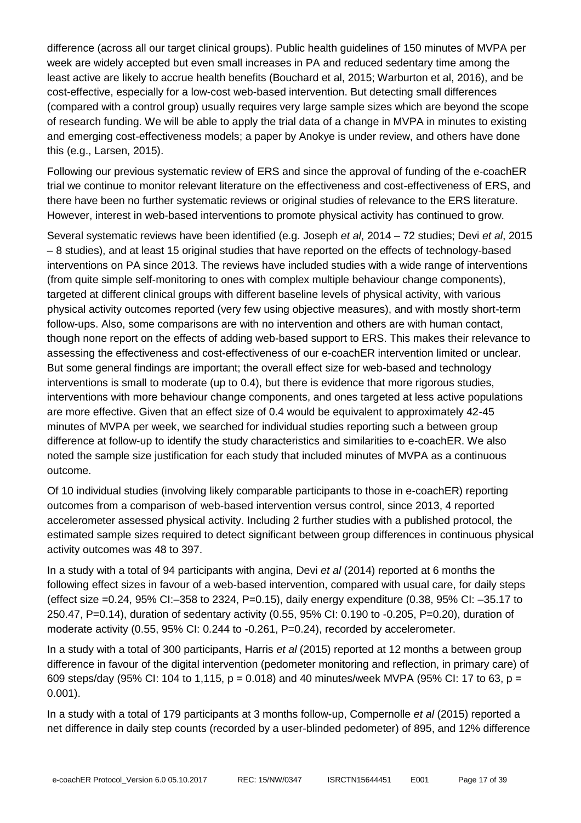difference (across all our target clinical groups). Public health guidelines of 150 minutes of MVPA per week are widely accepted but even small increases in PA and reduced sedentary time among the least active are likely to accrue health benefits (Bouchard et al, 2015; Warburton et al, 2016), and be cost-effective, especially for a low-cost web-based intervention. But detecting small differences (compared with a control group) usually requires very large sample sizes which are beyond the scope of research funding. We will be able to apply the trial data of a change in MVPA in minutes to existing and emerging cost-effectiveness models; a paper by Anokye is under review, and others have done this (e.g., Larsen, 2015).

Following our previous systematic review of ERS and since the approval of funding of the e-coachER trial we continue to monitor relevant literature on the effectiveness and cost-effectiveness of ERS, and there have been no further systematic reviews or original studies of relevance to the ERS literature. However, interest in web-based interventions to promote physical activity has continued to grow.

Several systematic reviews have been identified (e.g. Joseph *et al*, 2014 – 72 studies; Devi *et al*, 2015 – 8 studies), and at least 15 original studies that have reported on the effects of technology-based interventions on PA since 2013. The reviews have included studies with a wide range of interventions (from quite simple self-monitoring to ones with complex multiple behaviour change components), targeted at different clinical groups with different baseline levels of physical activity, with various physical activity outcomes reported (very few using objective measures), and with mostly short-term follow-ups. Also, some comparisons are with no intervention and others are with human contact, though none report on the effects of adding web-based support to ERS. This makes their relevance to assessing the effectiveness and cost-effectiveness of our e-coachER intervention limited or unclear. But some general findings are important; the overall effect size for web-based and technology interventions is small to moderate (up to 0.4), but there is evidence that more rigorous studies, interventions with more behaviour change components, and ones targeted at less active populations are more effective. Given that an effect size of 0.4 would be equivalent to approximately 42-45 minutes of MVPA per week, we searched for individual studies reporting such a between group difference at follow-up to identify the study characteristics and similarities to e-coachER. We also noted the sample size justification for each study that included minutes of MVPA as a continuous outcome.

Of 10 individual studies (involving likely comparable participants to those in e-coachER) reporting outcomes from a comparison of web-based intervention versus control, since 2013, 4 reported accelerometer assessed physical activity. Including 2 further studies with a published protocol, the estimated sample sizes required to detect significant between group differences in continuous physical activity outcomes was 48 to 397.

In a study with a total of 94 participants with angina, Devi *et al* (2014) reported at 6 months the following effect sizes in favour of a web-based intervention, compared with usual care, for daily steps (effect size =0.24, 95% CI:–358 to 2324, P=0.15), daily energy expenditure (0.38, 95% CI: –35.17 to 250.47, P=0.14), duration of sedentary activity (0.55, 95% CI: 0.190 to -0.205, P=0.20), duration of moderate activity (0.55, 95% CI: 0.244 to -0.261, P=0.24), recorded by accelerometer.

In a study with a total of 300 participants, Harris *et al* (2015) reported at 12 months a between group difference in favour of the digital intervention (pedometer monitoring and reflection, in primary care) of 609 steps/day (95% CI: 104 to 1,115,  $p = 0.018$ ) and 40 minutes/week MVPA (95% CI: 17 to 63,  $p =$ 0.001).

In a study with a total of 179 participants at 3 months follow-up, Compernolle *et al* (2015) reported a net difference in daily step counts (recorded by a user-blinded pedometer) of 895, and 12% difference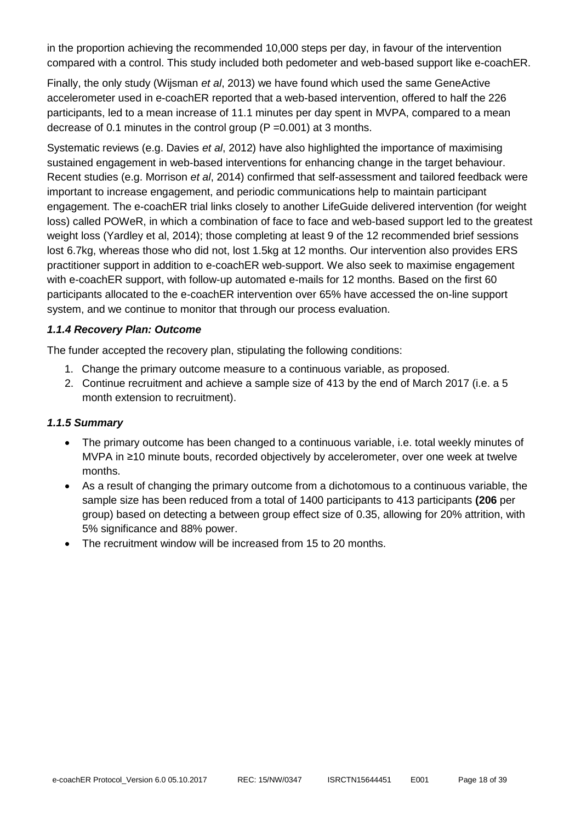in the proportion achieving the recommended 10,000 steps per day, in favour of the intervention compared with a control. This study included both pedometer and web-based support like e-coachER.

Finally, the only study (Wijsman *et al*, 2013) we have found which used the same GeneActive accelerometer used in e-coachER reported that a web-based intervention, offered to half the 226 participants, led to a mean increase of 11.1 minutes per day spent in MVPA, compared to a mean decrease of 0.1 minutes in the control group (P =0.001) at 3 months.

Systematic reviews (e.g. Davies *et al*, 2012) have also highlighted the importance of maximising sustained engagement in web-based interventions for enhancing change in the target behaviour. Recent studies (e.g. Morrison *et al*, 2014) confirmed that self-assessment and tailored feedback were important to increase engagement, and periodic communications help to maintain participant engagement. The e-coachER trial links closely to another LifeGuide delivered intervention (for weight loss) called POWeR, in which a combination of face to face and web-based support led to the greatest weight loss (Yardley et al, 2014); those completing at least 9 of the 12 recommended brief sessions lost 6.7kg, whereas those who did not, lost 1.5kg at 12 months. Our intervention also provides ERS practitioner support in addition to e-coachER web-support. We also seek to maximise engagement with e-coachER support, with follow-up automated e-mails for 12 months. Based on the first 60 participants allocated to the e-coachER intervention over 65% have accessed the on-line support system, and we continue to monitor that through our process evaluation.

#### *1.1.4 Recovery Plan: Outcome*

The funder accepted the recovery plan, stipulating the following conditions:

- 1. Change the primary outcome measure to a continuous variable, as proposed.
- 2. Continue recruitment and achieve a sample size of 413 by the end of March 2017 (i.e. a 5 month extension to recruitment).

#### *1.1.5 Summary*

- The primary outcome has been changed to a continuous variable, i.e. total weekly minutes of MVPA in ≥10 minute bouts, recorded objectively by accelerometer, over one week at twelve months.
- As a result of changing the primary outcome from a dichotomous to a continuous variable, the sample size has been reduced from a total of 1400 participants to 413 participants **(206** per group) based on detecting a between group effect size of 0.35, allowing for 20% attrition, with 5% significance and 88% power.
- The recruitment window will be increased from 15 to 20 months.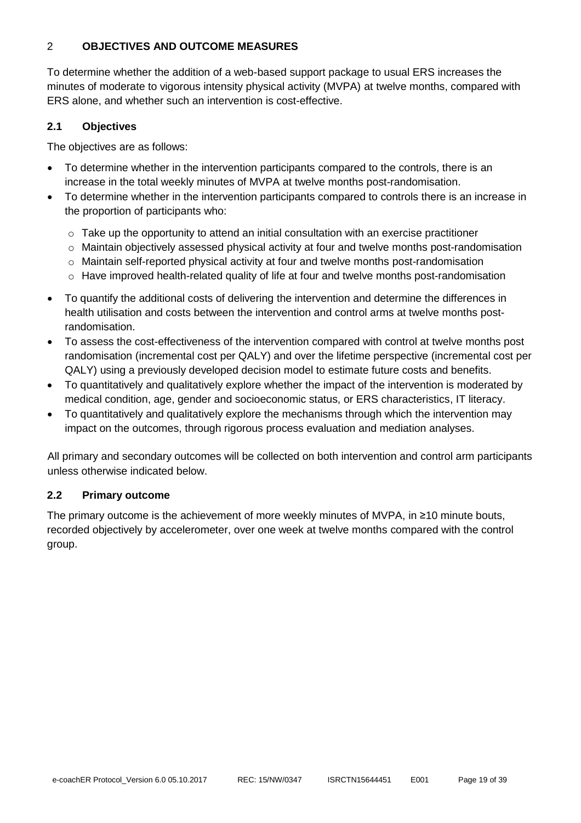# <span id="page-19-0"></span>2 **OBJECTIVES AND OUTCOME MEASURES**

To determine whether the addition of a web-based support package to usual ERS increases the minutes of moderate to vigorous intensity physical activity (MVPA) at twelve months, compared with ERS alone, and whether such an intervention is cost-effective.

#### **2.1 Objectives**

The objectives are as follows:

- To determine whether in the intervention participants compared to the controls, there is an increase in the total weekly minutes of MVPA at twelve months post-randomisation.
- To determine whether in the intervention participants compared to controls there is an increase in the proportion of participants who:
	- $\circ$  Take up the opportunity to attend an initial consultation with an exercise practitioner
	- $\circ$  Maintain objectively assessed physical activity at four and twelve months post-randomisation
	- o Maintain self-reported physical activity at four and twelve months post-randomisation
	- o Have improved health-related quality of life at four and twelve months post-randomisation
- To quantify the additional costs of delivering the intervention and determine the differences in health utilisation and costs between the intervention and control arms at twelve months postrandomisation.
- To assess the cost-effectiveness of the intervention compared with control at twelve months post randomisation (incremental cost per QALY) and over the lifetime perspective (incremental cost per QALY) using a previously developed decision model to estimate future costs and benefits.
- To quantitatively and qualitatively explore whether the impact of the intervention is moderated by medical condition, age, gender and socioeconomic status, or ERS characteristics, IT literacy.
- To quantitatively and qualitatively explore the mechanisms through which the intervention may impact on the outcomes, through rigorous process evaluation and mediation analyses.

All primary and secondary outcomes will be collected on both intervention and control arm participants unless otherwise indicated below.

#### **2.2 Primary outcome**

The primary outcome is the achievement of more weekly minutes of MVPA, in ≥10 minute bouts, recorded objectively by accelerometer, over one week at twelve months compared with the control group.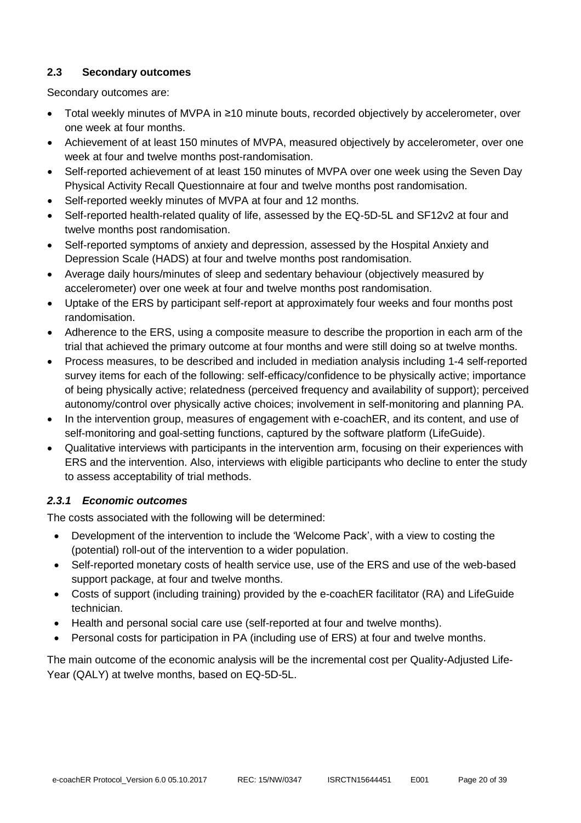#### **2.3 Secondary outcomes**

Secondary outcomes are:

- Total weekly minutes of MVPA in ≥10 minute bouts, recorded objectively by accelerometer, over one week at four months.
- Achievement of at least 150 minutes of MVPA, measured objectively by accelerometer, over one week at four and twelve months post-randomisation.
- Self-reported achievement of at least 150 minutes of MVPA over one week using the Seven Day Physical Activity Recall Questionnaire at four and twelve months post randomisation.
- Self-reported weekly minutes of MVPA at four and 12 months.
- Self-reported health-related quality of life, assessed by the EQ-5D-5L and SF12v2 at four and twelve months post randomisation.
- Self-reported symptoms of anxiety and depression, assessed by the Hospital Anxiety and Depression Scale (HADS) at four and twelve months post randomisation.
- Average daily hours/minutes of sleep and sedentary behaviour (objectively measured by accelerometer) over one week at four and twelve months post randomisation.
- Uptake of the ERS by participant self-report at approximately four weeks and four months post randomisation.
- Adherence to the ERS, using a composite measure to describe the proportion in each arm of the trial that achieved the primary outcome at four months and were still doing so at twelve months.
- Process measures, to be described and included in mediation analysis including 1-4 self-reported survey items for each of the following: self-efficacy/confidence to be physically active; importance of being physically active; relatedness (perceived frequency and availability of support); perceived autonomy/control over physically active choices; involvement in self-monitoring and planning PA.
- In the intervention group, measures of engagement with e-coachER, and its content, and use of self-monitoring and goal-setting functions, captured by the software platform (LifeGuide).
- Qualitative interviews with participants in the intervention arm, focusing on their experiences with ERS and the intervention. Also, interviews with eligible participants who decline to enter the study to assess acceptability of trial methods.

# *2.3.1 Economic outcomes*

The costs associated with the following will be determined:

- Development of the intervention to include the 'Welcome Pack', with a view to costing the (potential) roll-out of the intervention to a wider population.
- Self-reported monetary costs of health service use, use of the ERS and use of the web-based support package, at four and twelve months.
- Costs of support (including training) provided by the e-coachER facilitator (RA) and LifeGuide technician.
- Health and personal social care use (self-reported at four and twelve months).
- Personal costs for participation in PA (including use of ERS) at four and twelve months.

The main outcome of the economic analysis will be the incremental cost per Quality-Adjusted Life-Year (QALY) at twelve months, based on EQ-5D-5L.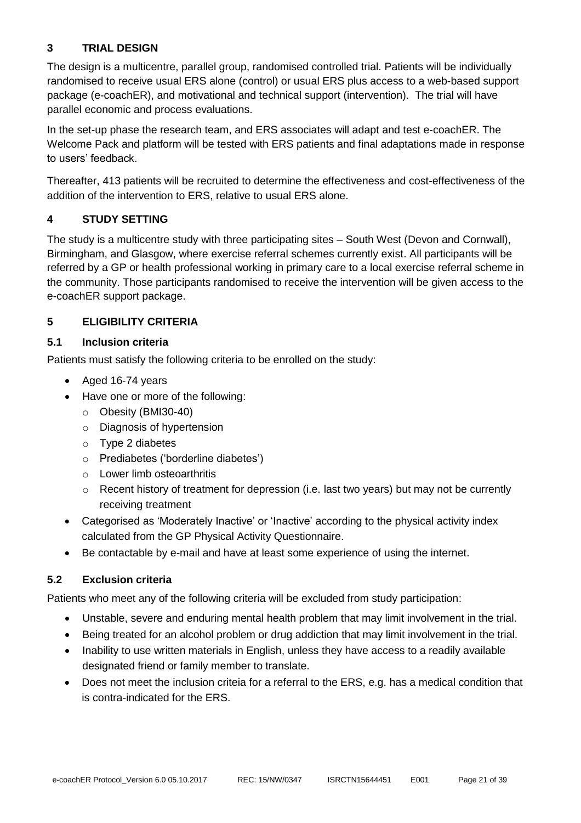# **3 TRIAL DESIGN**

The design is a multicentre, parallel group, randomised controlled trial. Patients will be individually randomised to receive usual ERS alone (control) or usual ERS plus access to a web-based support package (e-coachER), and motivational and technical support (intervention). The trial will have parallel economic and process evaluations.

In the set-up phase the research team, and ERS associates will adapt and test e-coachER. The Welcome Pack and platform will be tested with ERS patients and final adaptations made in response to users' feedback.

Thereafter, 413 patients will be recruited to determine the effectiveness and cost-effectiveness of the addition of the intervention to ERS, relative to usual ERS alone.

# <span id="page-21-0"></span>**4 STUDY SETTING**

The study is a multicentre study with three participating sites – South West (Devon and Cornwall), Birmingham, and Glasgow, where exercise referral schemes currently exist. All participants will be referred by a GP or health professional working in primary care to a local exercise referral scheme in the community. Those participants randomised to receive the intervention will be given access to the e-coachER support package.

# <span id="page-21-1"></span>**5 ELIGIBILITY CRITERIA**

# **5.1 Inclusion criteria**

Patients must satisfy the following criteria to be enrolled on the study:

- Aged 16-74 years
- Have one or more of the following:
	- o Obesity (BMI30-40)
	- o Diagnosis of hypertension
	- o Type 2 diabetes
	- o Prediabetes ('borderline diabetes')
	- o Lower limb osteoarthritis
	- $\circ$  Recent history of treatment for depression (i.e. last two years) but may not be currently receiving treatment
- Categorised as 'Moderately Inactive' or 'Inactive' according to the physical activity index calculated from the GP Physical Activity Questionnaire.
- Be contactable by e-mail and have at least some experience of using the internet.

# **5.2 Exclusion criteria**

Patients who meet any of the following criteria will be excluded from study participation:

- Unstable, severe and enduring mental health problem that may limit involvement in the trial.
- Being treated for an alcohol problem or drug addiction that may limit involvement in the trial.
- Inability to use written materials in English, unless they have access to a readily available designated friend or family member to translate.
- Does not meet the inclusion criteia for a referral to the ERS, e.g. has a medical condition that is contra-indicated for the ERS.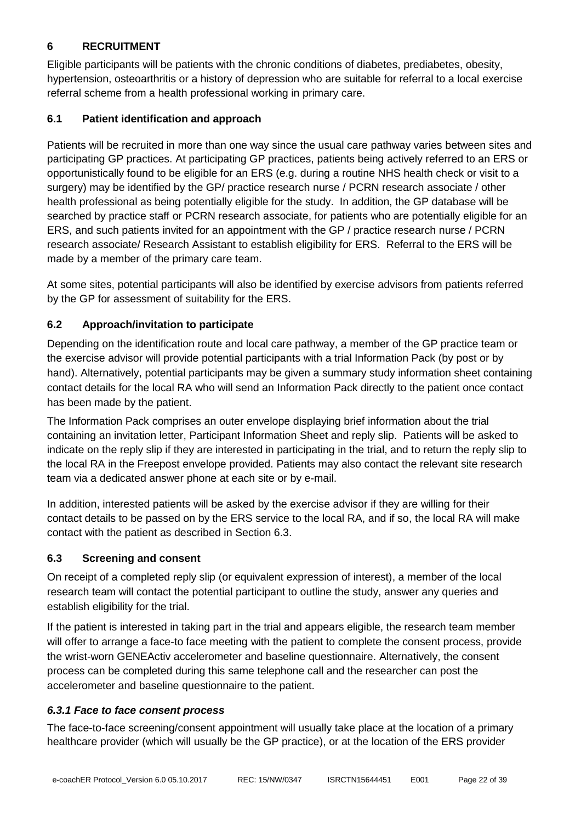# <span id="page-22-0"></span>**6 RECRUITMENT**

Eligible participants will be patients with the chronic conditions of diabetes, prediabetes, obesity, hypertension, osteoarthritis or a history of depression who are suitable for referral to a local exercise referral scheme from a health professional working in primary care.

# **6.1 Patient identification and approach**

Patients will be recruited in more than one way since the usual care pathway varies between sites and participating GP practices. At participating GP practices, patients being actively referred to an ERS or opportunistically found to be eligible for an ERS (e.g. during a routine NHS health check or visit to a surgery) may be identified by the GP/ practice research nurse / PCRN research associate / other health professional as being potentially eligible for the study. In addition, the GP database will be searched by practice staff or PCRN research associate, for patients who are potentially eligible for an ERS, and such patients invited for an appointment with the GP / practice research nurse / PCRN research associate/ Research Assistant to establish eligibility for ERS. Referral to the ERS will be made by a member of the primary care team.

At some sites, potential participants will also be identified by exercise advisors from patients referred by the GP for assessment of suitability for the ERS.

# **6.2 Approach/invitation to participate**

Depending on the identification route and local care pathway, a member of the GP practice team or the exercise advisor will provide potential participants with a trial Information Pack (by post or by hand). Alternatively, potential participants may be given a summary study information sheet containing contact details for the local RA who will send an Information Pack directly to the patient once contact has been made by the patient.

The Information Pack comprises an outer envelope displaying brief information about the trial containing an invitation letter, Participant Information Sheet and reply slip. Patients will be asked to indicate on the reply slip if they are interested in participating in the trial, and to return the reply slip to the local RA in the Freepost envelope provided. Patients may also contact the relevant site research team via a dedicated answer phone at each site or by e-mail.

In addition, interested patients will be asked by the exercise advisor if they are willing for their contact details to be passed on by the ERS service to the local RA, and if so, the local RA will make contact with the patient as described in Section 6.3.

# **6.3 Screening and consent**

On receipt of a completed reply slip (or equivalent expression of interest), a member of the local research team will contact the potential participant to outline the study, answer any queries and establish eligibility for the trial.

If the patient is interested in taking part in the trial and appears eligible, the research team member will offer to arrange a face-to face meeting with the patient to complete the consent process, provide the wrist-worn GENEActiv accelerometer and baseline questionnaire. Alternatively, the consent process can be completed during this same telephone call and the researcher can post the accelerometer and baseline questionnaire to the patient.

# *6.3.1 Face to face consent process*

The face-to-face screening/consent appointment will usually take place at the location of a primary healthcare provider (which will usually be the GP practice), or at the location of the ERS provider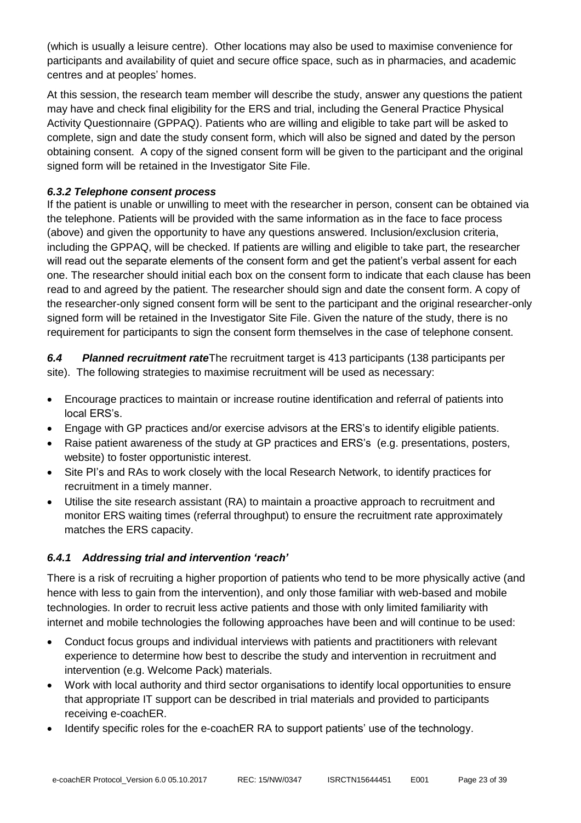(which is usually a leisure centre). Other locations may also be used to maximise convenience for participants and availability of quiet and secure office space, such as in pharmacies, and academic centres and at peoples' homes.

At this session, the research team member will describe the study, answer any questions the patient may have and check final eligibility for the ERS and trial, including the General Practice Physical Activity Questionnaire (GPPAQ). Patients who are willing and eligible to take part will be asked to complete, sign and date the study consent form, which will also be signed and dated by the person obtaining consent. A copy of the signed consent form will be given to the participant and the original signed form will be retained in the Investigator Site File.

#### *6.3.2 Telephone consent process*

If the patient is unable or unwilling to meet with the researcher in person, consent can be obtained via the telephone. Patients will be provided with the same information as in the face to face process (above) and given the opportunity to have any questions answered. Inclusion/exclusion criteria, including the GPPAQ, will be checked. If patients are willing and eligible to take part, the researcher will read out the separate elements of the consent form and get the patient's verbal assent for each one. The researcher should initial each box on the consent form to indicate that each clause has been read to and agreed by the patient. The researcher should sign and date the consent form. A copy of the researcher-only signed consent form will be sent to the participant and the original researcher-only signed form will be retained in the Investigator Site File. Given the nature of the study, there is no requirement for participants to sign the consent form themselves in the case of telephone consent.

*6.4 Planned recruitment rate*The recruitment target is 413 participants (138 participants per site). The following strategies to maximise recruitment will be used as necessary:

- Encourage practices to maintain or increase routine identification and referral of patients into local ERS's.
- Engage with GP practices and/or exercise advisors at the ERS's to identify eligible patients.
- Raise patient awareness of the study at GP practices and ERS's (e.g. presentations, posters, website) to foster opportunistic interest.
- Site PI's and RAs to work closely with the local Research Network, to identify practices for recruitment in a timely manner.
- Utilise the site research assistant (RA) to maintain a proactive approach to recruitment and monitor ERS waiting times (referral throughput) to ensure the recruitment rate approximately matches the ERS capacity.

# *6.4.1 Addressing trial and intervention 'reach'*

There is a risk of recruiting a higher proportion of patients who tend to be more physically active (and hence with less to gain from the intervention), and only those familiar with web-based and mobile technologies. In order to recruit less active patients and those with only limited familiarity with internet and mobile technologies the following approaches have been and will continue to be used:

- Conduct focus groups and individual interviews with patients and practitioners with relevant experience to determine how best to describe the study and intervention in recruitment and intervention (e.g. Welcome Pack) materials.
- Work with local authority and third sector organisations to identify local opportunities to ensure that appropriate IT support can be described in trial materials and provided to participants receiving e-coachER.
- Identify specific roles for the e-coachER RA to support patients' use of the technology.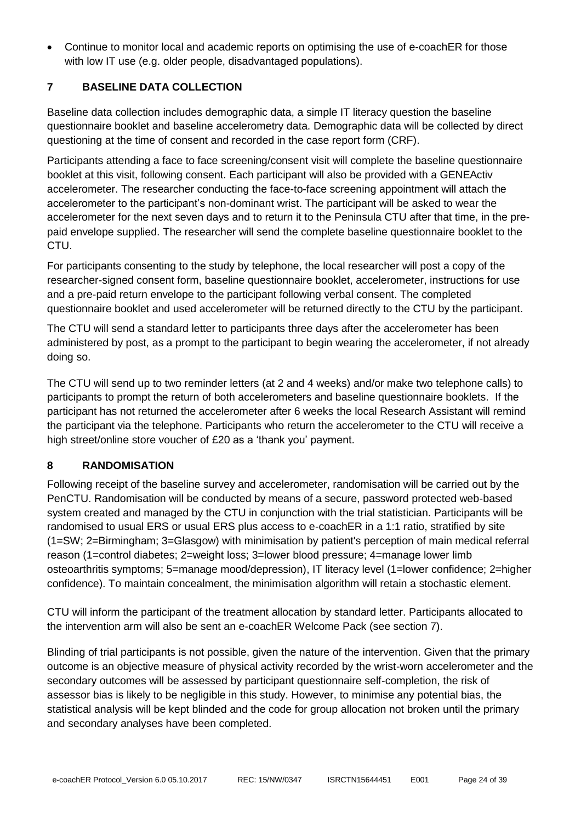<span id="page-24-0"></span>• Continue to monitor local and academic reports on optimising the use of e-coachER for those with low IT use (e.g. older people, disadvantaged populations).

# **7 BASELINE DATA COLLECTION**

Baseline data collection includes demographic data, a simple IT literacy question the baseline questionnaire booklet and baseline accelerometry data. Demographic data will be collected by direct questioning at the time of consent and recorded in the case report form (CRF).

Participants attending a face to face screening/consent visit will complete the baseline questionnaire booklet at this visit, following consent. Each participant will also be provided with a GENEActiv accelerometer. The researcher conducting the face-to-face screening appointment will attach the accelerometer to the participant's non-dominant wrist. The participant will be asked to wear the accelerometer for the next seven days and to return it to the Peninsula CTU after that time, in the prepaid envelope supplied. The researcher will send the complete baseline questionnaire booklet to the CTU.

For participants consenting to the study by telephone, the local researcher will post a copy of the researcher-signed consent form, baseline questionnaire booklet, accelerometer, instructions for use and a pre-paid return envelope to the participant following verbal consent. The completed questionnaire booklet and used accelerometer will be returned directly to the CTU by the participant.

The CTU will send a standard letter to participants three days after the accelerometer has been administered by post, as a prompt to the participant to begin wearing the accelerometer, if not already doing so.

The CTU will send up to two reminder letters (at 2 and 4 weeks) and/or make two telephone calls) to participants to prompt the return of both accelerometers and baseline questionnaire booklets. If the participant has not returned the accelerometer after 6 weeks the local Research Assistant will remind the participant via the telephone. Participants who return the accelerometer to the CTU will receive a high street/online store voucher of £20 as a 'thank you' payment.

# <span id="page-24-1"></span>**8 RANDOMISATION**

Following receipt of the baseline survey and accelerometer, randomisation will be carried out by the PenCTU. Randomisation will be conducted by means of a secure, password protected web-based system created and managed by the CTU in conjunction with the trial statistician. Participants will be randomised to usual ERS or usual ERS plus access to e-coachER in a 1:1 ratio, stratified by site (1=SW; 2=Birmingham; 3=Glasgow) with minimisation by patient's perception of main medical referral reason (1=control diabetes; 2=weight loss; 3=lower blood pressure; 4=manage lower limb osteoarthritis symptoms; 5=manage mood/depression), IT literacy level (1=lower confidence; 2=higher confidence). To maintain concealment, the minimisation algorithm will retain a stochastic element.

CTU will inform the participant of the treatment allocation by standard letter. Participants allocated to the intervention arm will also be sent an e-coachER Welcome Pack (see section 7).

Blinding of trial participants is not possible, given the nature of the intervention. Given that the primary outcome is an objective measure of physical activity recorded by the wrist-worn accelerometer and the secondary outcomes will be assessed by participant questionnaire self-completion, the risk of assessor bias is likely to be negligible in this study. However, to minimise any potential bias, the statistical analysis will be kept blinded and the code for group allocation not broken until the primary and secondary analyses have been completed.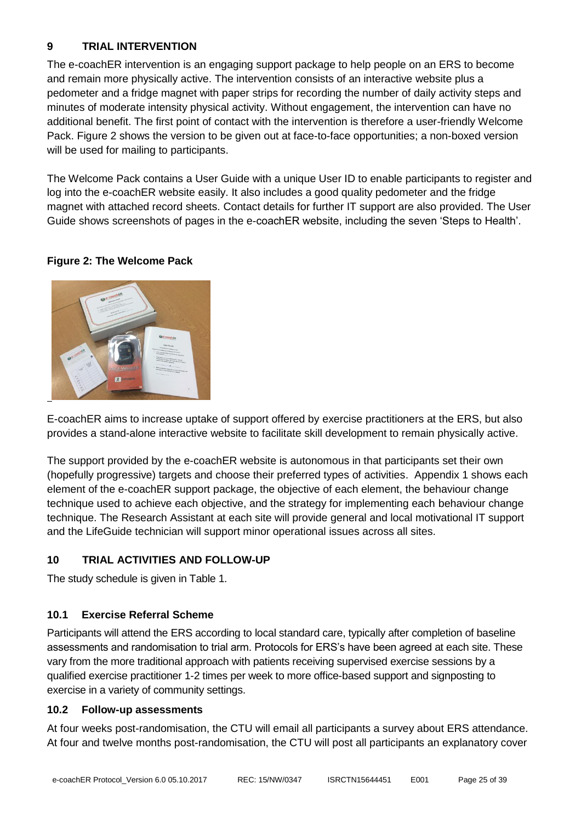# <span id="page-25-0"></span>**9 TRIAL INTERVENTION**

The e-coachER intervention is an engaging support package to help people on an ERS to become and remain more physically active. The intervention consists of an interactive website plus a pedometer and a fridge magnet with paper strips for recording the number of daily activity steps and minutes of moderate intensity physical activity. Without engagement, the intervention can have no additional benefit. The first point of contact with the intervention is therefore a user-friendly Welcome Pack. Figure 2 shows the version to be given out at face-to-face opportunities; a non-boxed version will be used for mailing to participants.

The Welcome Pack contains a User Guide with a unique User ID to enable participants to register and log into the e-coachER website easily. It also includes a good quality pedometer and the fridge magnet with attached record sheets. Contact details for further IT support are also provided. The User Guide shows screenshots of pages in the e-coachER website, including the seven 'Steps to Health'.

# **Figure 2: The Welcome Pack**



E-coachER aims to increase uptake of support offered by exercise practitioners at the ERS, but also provides a stand-alone interactive website to facilitate skill development to remain physically active.

The support provided by the e-coachER website is autonomous in that participants set their own (hopefully progressive) targets and choose their preferred types of activities. Appendix 1 shows each element of the e-coachER support package, the objective of each element, the behaviour change technique used to achieve each objective, and the strategy for implementing each behaviour change technique. The Research Assistant at each site will provide general and local motivational IT support and the LifeGuide technician will support minor operational issues across all sites.

# <span id="page-25-1"></span>**10 TRIAL ACTIVITIES AND FOLLOW-UP**

The study schedule is given in Table 1.

#### **10.1 Exercise Referral Scheme**

Participants will attend the ERS according to local standard care, typically after completion of baseline assessments and randomisation to trial arm. Protocols for ERS's have been agreed at each site. These vary from the more traditional approach with patients receiving supervised exercise sessions by a qualified exercise practitioner 1-2 times per week to more office-based support and signposting to exercise in a variety of community settings.

#### **10.2 Follow-up assessments**

At four weeks post-randomisation, the CTU will email all participants a survey about ERS attendance. At four and twelve months post-randomisation, the CTU will post all participants an explanatory cover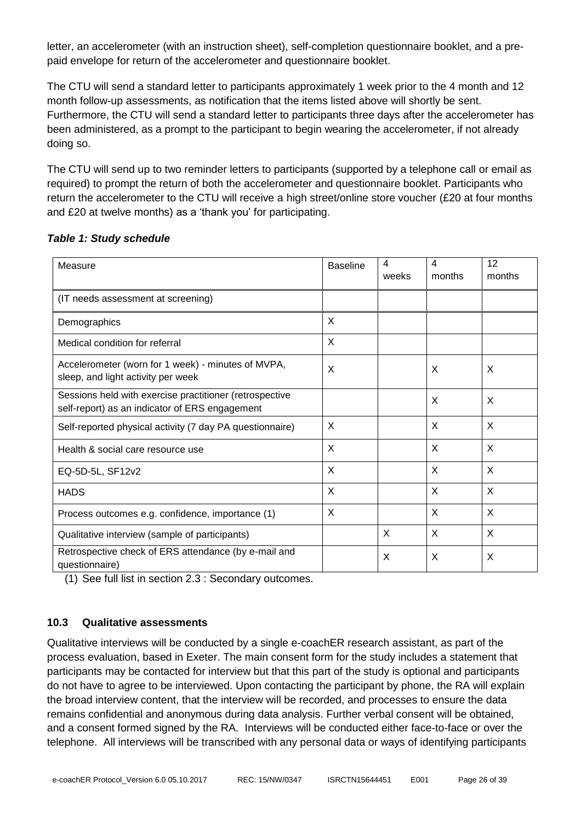letter, an accelerometer (with an instruction sheet), self-completion questionnaire booklet, and a prepaid envelope for return of the accelerometer and questionnaire booklet.

The CTU will send a standard letter to participants approximately 1 week prior to the 4 month and 12 month follow-up assessments, as notification that the items listed above will shortly be sent. Furthermore, the CTU will send a standard letter to participants three days after the accelerometer has been administered, as a prompt to the participant to begin wearing the accelerometer, if not already doing so.

The CTU will send up to two reminder letters to participants (supported by a telephone call or email as required) to prompt the return of both the accelerometer and questionnaire booklet. Participants who return the accelerometer to the CTU will receive a high street/online store voucher (£20 at four months and £20 at twelve months) as a 'thank you' for participating.

| Measure                                                                                                   | <b>Baseline</b> | 4<br>weeks | 4<br>months | 12<br>months |
|-----------------------------------------------------------------------------------------------------------|-----------------|------------|-------------|--------------|
| (IT needs assessment at screening)                                                                        |                 |            |             |              |
| Demographics                                                                                              | X               |            |             |              |
| Medical condition for referral                                                                            | X               |            |             |              |
| Accelerometer (worn for 1 week) - minutes of MVPA,<br>sleep, and light activity per week                  | X               |            | X           | X            |
| Sessions held with exercise practitioner (retrospective<br>self-report) as an indicator of ERS engagement |                 |            | X           | X            |
| Self-reported physical activity (7 day PA questionnaire)                                                  | X               |            | X           | X            |
| Health & social care resource use                                                                         | X               |            | X           | X            |
| EQ-5D-5L, SF12v2                                                                                          | X               |            | X           | X            |
| <b>HADS</b>                                                                                               | X               |            | X           | X            |
| Process outcomes e.g. confidence, importance (1)                                                          | X               |            | X           | X            |
| Qualitative interview (sample of participants)                                                            |                 | X          | X           | X            |
| Retrospective check of ERS attendance (by e-mail and<br>questionnaire)                                    |                 | X          | X           | X            |

#### *Table 1: Study schedule*

(1) See full list in section 2.3 : Secondary outcomes.

#### **10.3 Qualitative assessments**

Qualitative interviews will be conducted by a single e-coachER research assistant, as part of the process evaluation, based in Exeter. The main consent form for the study includes a statement that participants may be contacted for interview but that this part of the study is optional and participants do not have to agree to be interviewed. Upon contacting the participant by phone, the RA will explain the broad interview content, that the interview will be recorded, and processes to ensure the data remains confidential and anonymous during data analysis. Further verbal consent will be obtained, and a consent formed signed by the RA. Interviews will be conducted either face-to-face or over the telephone. All interviews will be transcribed with any personal data or ways of identifying participants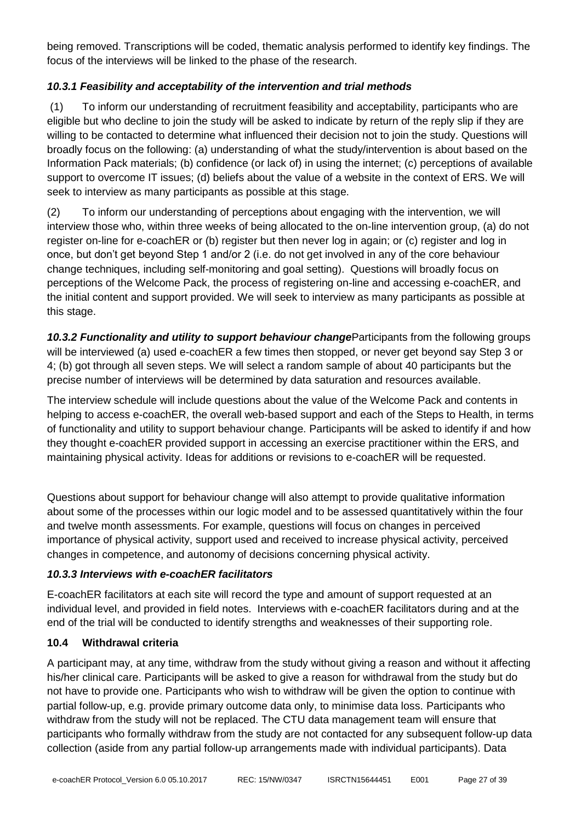being removed. Transcriptions will be coded, thematic analysis performed to identify key findings. The focus of the interviews will be linked to the phase of the research.

# *10.3.1 Feasibility and acceptability of the intervention and trial methods*

(1) To inform our understanding of recruitment feasibility and acceptability, participants who are eligible but who decline to join the study will be asked to indicate by return of the reply slip if they are willing to be contacted to determine what influenced their decision not to join the study. Questions will broadly focus on the following: (a) understanding of what the study/intervention is about based on the Information Pack materials; (b) confidence (or lack of) in using the internet; (c) perceptions of available support to overcome IT issues; (d) beliefs about the value of a website in the context of ERS. We will seek to interview as many participants as possible at this stage.

(2) To inform our understanding of perceptions about engaging with the intervention, we will interview those who, within three weeks of being allocated to the on-line intervention group, (a) do not register on-line for e-coachER or (b) register but then never log in again; or (c) register and log in once, but don't get beyond Step 1 and/or 2 (i.e. do not get involved in any of the core behaviour change techniques, including self-monitoring and goal setting). Questions will broadly focus on perceptions of the Welcome Pack, the process of registering on-line and accessing e-coachER, and the initial content and support provided. We will seek to interview as many participants as possible at this stage.

*10.3.2 Functionality and utility to support behaviour change*Participants from the following groups will be interviewed (a) used e-coachER a few times then stopped, or never get beyond say Step 3 or 4; (b) got through all seven steps. We will select a random sample of about 40 participants but the precise number of interviews will be determined by data saturation and resources available.

The interview schedule will include questions about the value of the Welcome Pack and contents in helping to access e-coachER, the overall web-based support and each of the Steps to Health, in terms of functionality and utility to support behaviour change. Participants will be asked to identify if and how they thought e-coachER provided support in accessing an exercise practitioner within the ERS, and maintaining physical activity. Ideas for additions or revisions to e-coachER will be requested.

Questions about support for behaviour change will also attempt to provide qualitative information about some of the processes within our logic model and to be assessed quantitatively within the four and twelve month assessments. For example, questions will focus on changes in perceived importance of physical activity, support used and received to increase physical activity, perceived changes in competence, and autonomy of decisions concerning physical activity.

# *10.3.3 Interviews with e-coachER facilitators*

E-coachER facilitators at each site will record the type and amount of support requested at an individual level, and provided in field notes. Interviews with e-coachER facilitators during and at the end of the trial will be conducted to identify strengths and weaknesses of their supporting role.

#### **10.4 Withdrawal criteria**

A participant may, at any time, withdraw from the study without giving a reason and without it affecting his/her clinical care. Participants will be asked to give a reason for withdrawal from the study but do not have to provide one. Participants who wish to withdraw will be given the option to continue with partial follow-up, e.g. provide primary outcome data only, to minimise data loss. Participants who withdraw from the study will not be replaced. The CTU data management team will ensure that participants who formally withdraw from the study are not contacted for any subsequent follow-up data collection (aside from any partial follow-up arrangements made with individual participants). Data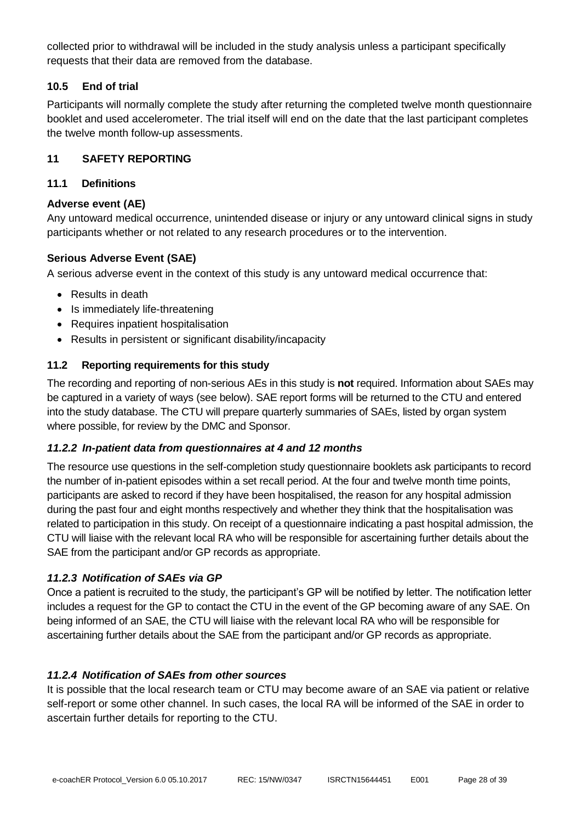collected prior to withdrawal will be included in the study analysis unless a participant specifically requests that their data are removed from the database.

#### **10.5 End of trial**

Participants will normally complete the study after returning the completed twelve month questionnaire booklet and used accelerometer. The trial itself will end on the date that the last participant completes the twelve month follow-up assessments.

#### <span id="page-28-0"></span>**11 SAFETY REPORTING**

#### **11.1 Definitions**

#### **Adverse event (AE)**

Any untoward medical occurrence, unintended disease or injury or any untoward clinical signs in study participants whether or not related to any research procedures or to the intervention.

#### **Serious Adverse Event (SAE)**

A serious adverse event in the context of this study is any untoward medical occurrence that:

- Results in death
- Is immediately life-threatening
- Requires inpatient hospitalisation
- Results in persistent or significant disability/incapacity

#### **11.2 Reporting requirements for this study**

The recording and reporting of non-serious AEs in this study is **not** required. Information about SAEs may be captured in a variety of ways (see below). SAE report forms will be returned to the CTU and entered into the study database. The CTU will prepare quarterly summaries of SAEs, listed by organ system where possible, for review by the DMC and Sponsor.

#### *11.2.2 In-patient data from questionnaires at 4 and 12 months*

The resource use questions in the self-completion study questionnaire booklets ask participants to record the number of in-patient episodes within a set recall period. At the four and twelve month time points, participants are asked to record if they have been hospitalised, the reason for any hospital admission during the past four and eight months respectively and whether they think that the hospitalisation was related to participation in this study. On receipt of a questionnaire indicating a past hospital admission, the CTU will liaise with the relevant local RA who will be responsible for ascertaining further details about the SAE from the participant and/or GP records as appropriate.

#### *11.2.3 Notification of SAEs via GP*

Once a patient is recruited to the study, the participant's GP will be notified by letter. The notification letter includes a request for the GP to contact the CTU in the event of the GP becoming aware of any SAE. On being informed of an SAE, the CTU will liaise with the relevant local RA who will be responsible for ascertaining further details about the SAE from the participant and/or GP records as appropriate.

#### *11.2.4 Notification of SAEs from other sources*

It is possible that the local research team or CTU may become aware of an SAE via patient or relative self-report or some other channel. In such cases, the local RA will be informed of the SAE in order to ascertain further details for reporting to the CTU.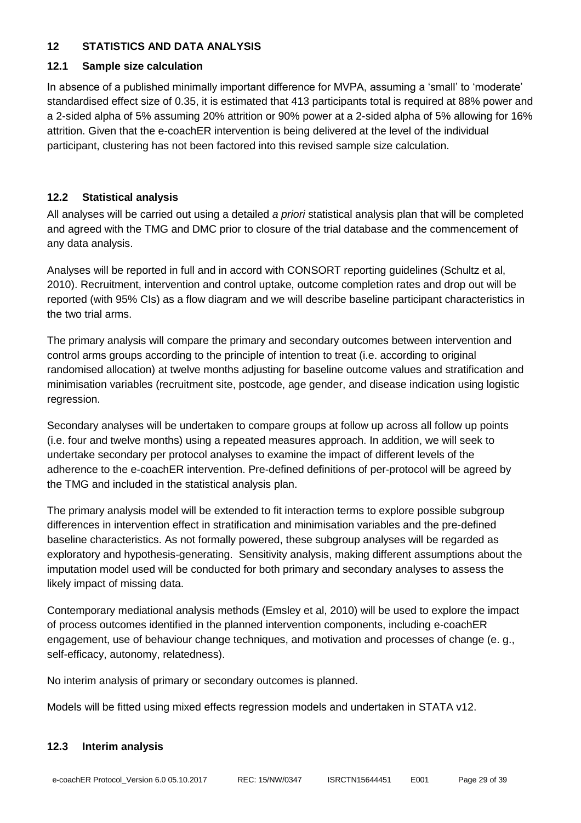# <span id="page-29-0"></span>**12 STATISTICS AND DATA ANALYSIS**

#### **12.1 Sample size calculation**

In absence of a published minimally important difference for MVPA, assuming a 'small' to 'moderate' standardised effect size of 0.35, it is estimated that 413 participants total is required at 88% power and a 2-sided alpha of 5% assuming 20% attrition or 90% power at a 2-sided alpha of 5% allowing for 16% attrition. Given that the e-coachER intervention is being delivered at the level of the individual participant, clustering has not been factored into this revised sample size calculation.

# **12.2 Statistical analysis**

All analyses will be carried out using a detailed *a priori* statistical analysis plan that will be completed and agreed with the TMG and DMC prior to closure of the trial database and the commencement of any data analysis.

Analyses will be reported in full and in accord with CONSORT reporting guidelines (Schultz et al, 2010). Recruitment, intervention and control uptake, outcome completion rates and drop out will be reported (with 95% CIs) as a flow diagram and we will describe baseline participant characteristics in the two trial arms.

The primary analysis will compare the primary and secondary outcomes between intervention and control arms groups according to the principle of intention to treat (i.e. according to original randomised allocation) at twelve months adjusting for baseline outcome values and stratification and minimisation variables (recruitment site, postcode, age gender, and disease indication using logistic regression.

Secondary analyses will be undertaken to compare groups at follow up across all follow up points (i.e. four and twelve months) using a repeated measures approach. In addition, we will seek to undertake secondary per protocol analyses to examine the impact of different levels of the adherence to the e-coachER intervention. Pre-defined definitions of per-protocol will be agreed by the TMG and included in the statistical analysis plan.

The primary analysis model will be extended to fit interaction terms to explore possible subgroup differences in intervention effect in stratification and minimisation variables and the pre-defined baseline characteristics. As not formally powered, these subgroup analyses will be regarded as exploratory and hypothesis-generating. Sensitivity analysis, making different assumptions about the imputation model used will be conducted for both primary and secondary analyses to assess the likely impact of missing data.

Contemporary mediational analysis methods (Emsley et al, 2010) will be used to explore the impact of process outcomes identified in the planned intervention components, including e-coachER engagement, use of behaviour change techniques, and motivation and processes of change (e. g., self-efficacy, autonomy, relatedness).

No interim analysis of primary or secondary outcomes is planned.

Models will be fitted using mixed effects regression models and undertaken in STATA v12.

# **12.3 Interim analysis**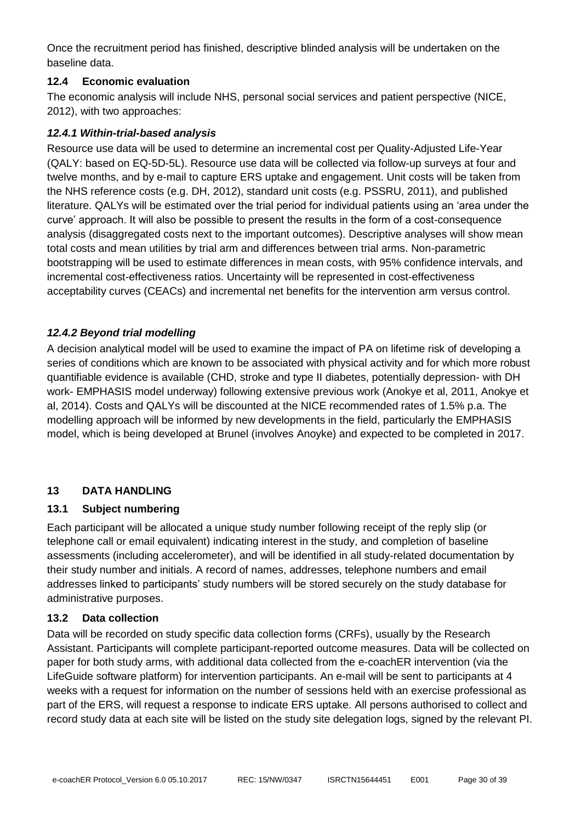Once the recruitment period has finished, descriptive blinded analysis will be undertaken on the baseline data.

# **12.4 Economic evaluation**

The economic analysis will include NHS, personal social services and patient perspective (NICE, 2012), with two approaches:

#### *12.4.1 Within-trial-based analysis*

Resource use data will be used to determine an incremental cost per Quality-Adjusted Life-Year (QALY: based on EQ-5D-5L). Resource use data will be collected via follow-up surveys at four and twelve months, and by e-mail to capture ERS uptake and engagement. Unit costs will be taken from the NHS reference costs (e.g. DH, 2012), standard unit costs (e.g. PSSRU, 2011), and published literature. QALYs will be estimated over the trial period for individual patients using an 'area under the curve' approach. It will also be possible to present the results in the form of a cost-consequence analysis (disaggregated costs next to the important outcomes). Descriptive analyses will show mean total costs and mean utilities by trial arm and differences between trial arms. Non-parametric bootstrapping will be used to estimate differences in mean costs, with 95% confidence intervals, and incremental cost-effectiveness ratios. Uncertainty will be represented in cost-effectiveness acceptability curves (CEACs) and incremental net benefits for the intervention arm versus control.

# *12.4.2 Beyond trial modelling*

A decision analytical model will be used to examine the impact of PA on lifetime risk of developing a series of conditions which are known to be associated with physical activity and for which more robust quantifiable evidence is available (CHD, stroke and type II diabetes, potentially depression- with DH work- EMPHASIS model underway) following extensive previous work (Anokye et al, 2011, Anokye et al, 2014). Costs and QALYs will be discounted at the NICE recommended rates of 1.5% p.a. The modelling approach will be informed by new developments in the field, particularly the EMPHASIS model, which is being developed at Brunel (involves Anoyke) and expected to be completed in 2017.

# <span id="page-30-0"></span>**13 DATA HANDLING**

#### **13.1 Subject numbering**

Each participant will be allocated a unique study number following receipt of the reply slip (or telephone call or email equivalent) indicating interest in the study, and completion of baseline assessments (including accelerometer), and will be identified in all study-related documentation by their study number and initials. A record of names, addresses, telephone numbers and email addresses linked to participants' study numbers will be stored securely on the study database for administrative purposes.

#### **13.2 Data collection**

Data will be recorded on study specific data collection forms (CRFs), usually by the Research Assistant. Participants will complete participant-reported outcome measures. Data will be collected on paper for both study arms, with additional data collected from the e-coachER intervention (via the LifeGuide software platform) for intervention participants. An e-mail will be sent to participants at 4 weeks with a request for information on the number of sessions held with an exercise professional as part of the ERS, will request a response to indicate ERS uptake. All persons authorised to collect and record study data at each site will be listed on the study site delegation logs, signed by the relevant PI.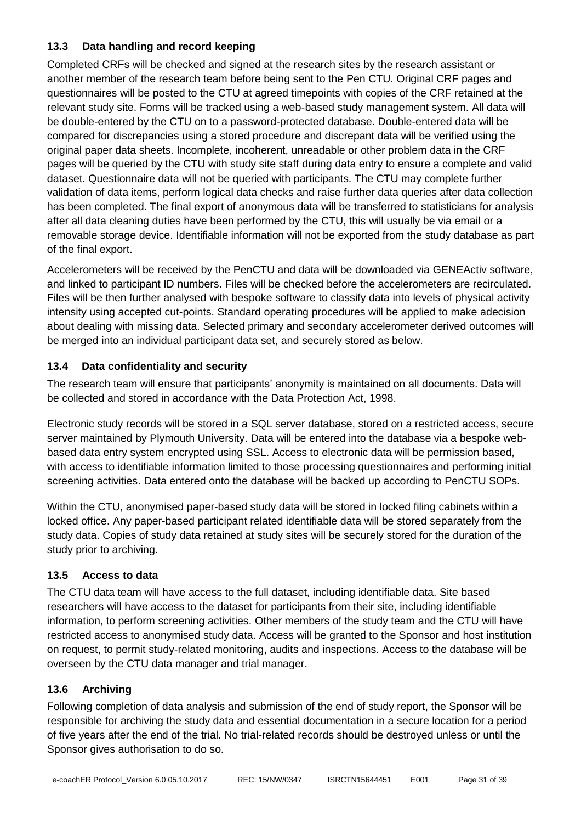# **13.3 Data handling and record keeping**

Completed CRFs will be checked and signed at the research sites by the research assistant or another member of the research team before being sent to the Pen CTU. Original CRF pages and questionnaires will be posted to the CTU at agreed timepoints with copies of the CRF retained at the relevant study site. Forms will be tracked using a web-based study management system. All data will be double-entered by the CTU on to a password-protected database. Double-entered data will be compared for discrepancies using a stored procedure and discrepant data will be verified using the original paper data sheets. Incomplete, incoherent, unreadable or other problem data in the CRF pages will be queried by the CTU with study site staff during data entry to ensure a complete and valid dataset. Questionnaire data will not be queried with participants. The CTU may complete further validation of data items, perform logical data checks and raise further data queries after data collection has been completed. The final export of anonymous data will be transferred to statisticians for analysis after all data cleaning duties have been performed by the CTU, this will usually be via email or a removable storage device. Identifiable information will not be exported from the study database as part of the final export.

Accelerometers will be received by the PenCTU and data will be downloaded via GENEActiv software, and linked to participant ID numbers. Files will be checked before the accelerometers are recirculated. Files will be then further analysed with bespoke software to classify data into levels of physical activity intensity using accepted cut-points. Standard operating procedures will be applied to make adecision about dealing with missing data. Selected primary and secondary accelerometer derived outcomes will be merged into an individual participant data set, and securely stored as below.

# **13.4 Data confidentiality and security**

The research team will ensure that participants' anonymity is maintained on all documents. Data will be collected and stored in accordance with the Data Protection Act, 1998.

Electronic study records will be stored in a SQL server database, stored on a restricted access, secure server maintained by Plymouth University. Data will be entered into the database via a bespoke webbased data entry system encrypted using SSL. Access to electronic data will be permission based, with access to identifiable information limited to those processing questionnaires and performing initial screening activities. Data entered onto the database will be backed up according to PenCTU SOPs.

Within the CTU, anonymised paper-based study data will be stored in locked filing cabinets within a locked office. Any paper-based participant related identifiable data will be stored separately from the study data. Copies of study data retained at study sites will be securely stored for the duration of the study prior to archiving.

# **13.5 Access to data**

The CTU data team will have access to the full dataset, including identifiable data. Site based researchers will have access to the dataset for participants from their site, including identifiable information, to perform screening activities. Other members of the study team and the CTU will have restricted access to anonymised study data. Access will be granted to the Sponsor and host institution on request, to permit study-related monitoring, audits and inspections. Access to the database will be overseen by the CTU data manager and trial manager.

# **13.6 Archiving**

Following completion of data analysis and submission of the end of study report, the Sponsor will be responsible for archiving the study data and essential documentation in a secure location for a period of five years after the end of the trial. No trial-related records should be destroyed unless or until the Sponsor gives authorisation to do so.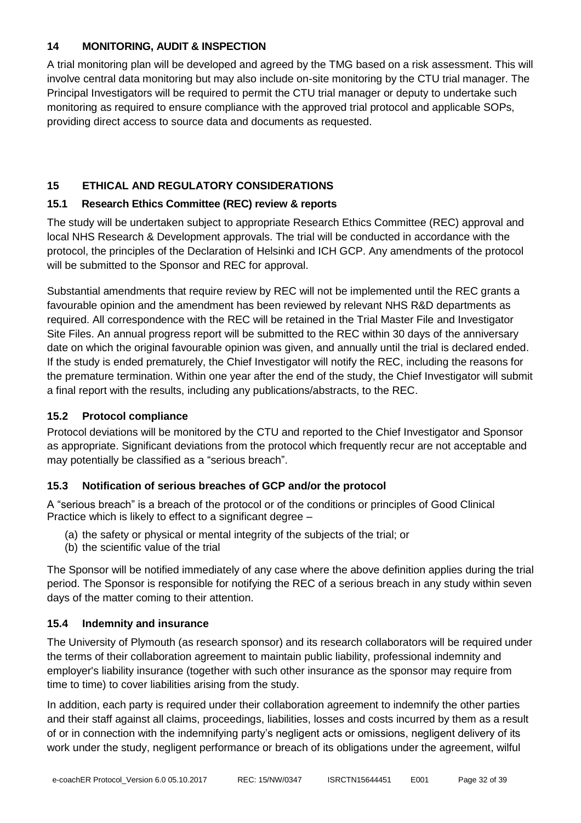# <span id="page-32-0"></span>**14 MONITORING, AUDIT & INSPECTION**

A trial monitoring plan will be developed and agreed by the TMG based on a risk assessment. This will involve central data monitoring but may also include on-site monitoring by the CTU trial manager. The Principal Investigators will be required to permit the CTU trial manager or deputy to undertake such monitoring as required to ensure compliance with the approved trial protocol and applicable SOPs, providing direct access to source data and documents as requested.

# <span id="page-32-1"></span>**15 ETHICAL AND REGULATORY CONSIDERATIONS**

# **15.1 Research Ethics Committee (REC) review & reports**

The study will be undertaken subject to appropriate Research Ethics Committee (REC) approval and local NHS Research & Development approvals. The trial will be conducted in accordance with the protocol, the principles of the Declaration of Helsinki and ICH GCP. Any amendments of the protocol will be submitted to the Sponsor and REC for approval.

Substantial amendments that require review by REC will not be implemented until the REC grants a favourable opinion and the amendment has been reviewed by relevant NHS R&D departments as required. All correspondence with the REC will be retained in the Trial Master File and Investigator Site Files. An annual progress report will be submitted to the REC within 30 days of the anniversary date on which the original favourable opinion was given, and annually until the trial is declared ended. If the study is ended prematurely, the Chief Investigator will notify the REC, including the reasons for the premature termination. Within one year after the end of the study, the Chief Investigator will submit a final report with the results, including any publications/abstracts, to the REC.

# **15.2 Protocol compliance**

Protocol deviations will be monitored by the CTU and reported to the Chief Investigator and Sponsor as appropriate. Significant deviations from the protocol which frequently recur are not acceptable and may potentially be classified as a "serious breach".

# **15.3 Notification of serious breaches of GCP and/or the protocol**

A "serious breach" is a breach of the protocol or of the conditions or principles of Good Clinical Practice which is likely to effect to a significant degree –

- (a) the safety or physical or mental integrity of the subjects of the trial; or
- (b) the scientific value of the trial

The Sponsor will be notified immediately of any case where the above definition applies during the trial period. The Sponsor is responsible for notifying the REC of a serious breach in any study within seven days of the matter coming to their attention.

# **15.4 Indemnity and insurance**

The University of Plymouth (as research sponsor) and its research collaborators will be required under the terms of their collaboration agreement to maintain public liability, professional indemnity and employer's liability insurance (together with such other insurance as the sponsor may require from time to time) to cover liabilities arising from the study.

In addition, each party is required under their collaboration agreement to indemnify the other parties and their staff against all claims, proceedings, liabilities, losses and costs incurred by them as a result of or in connection with the indemnifying party's negligent acts or omissions, negligent delivery of its work under the study, negligent performance or breach of its obligations under the agreement, wilful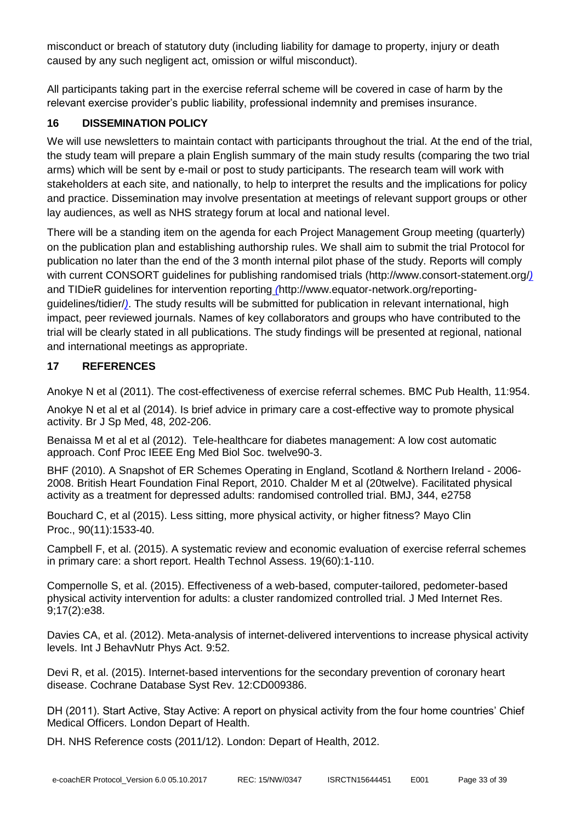misconduct or breach of statutory duty (including liability for damage to property, injury or death caused by any such negligent act, omission or wilful misconduct).

All participants taking part in the exercise referral scheme will be covered in case of harm by the relevant exercise provider's public liability, professional indemnity and premises insurance.

# <span id="page-33-0"></span>**16 DISSEMINATION POLICY**

We will use newsletters to maintain contact with participants throughout the trial. At the end of the trial, the study team will prepare a plain English summary of the main study results (comparing the two trial arms) which will be sent by e-mail or post to study participants. The research team will work with stakeholders at each site, and nationally, to help to interpret the results and the implications for policy and practice. Dissemination may involve presentation at meetings of relevant support groups or other lay audiences, as well as NHS strategy forum at local and national level.

There will be a standing item on the agenda for each Project Management Group meeting (quarterly) on the publication plan and establishing authorship rules. We shall aim to submit the trial Protocol for publication no later than the end of the 3 month internal pilot phase of the study. Reports will comply with current CONSORT guidelines for publishing randomised trials (http://www.consort-statement.org/*)*  and TIDieR guidelines for intervention reporting *(*http://www.equator-network.org/reportingguidelines/tidier/*)*. The study results will be submitted for publication in relevant international, high impact, peer reviewed journals. Names of key collaborators and groups who have contributed to the trial will be clearly stated in all publications. The study findings will be presented at regional, national and international meetings as appropriate.

# <span id="page-33-1"></span>**17 REFERENCES**

Anokye N et al (2011). The cost-effectiveness of exercise referral schemes. BMC Pub Health, 11:954.

Anokye N et al et al (2014). Is brief advice in primary care a cost-effective way to promote physical activity. Br J Sp Med, 48, 202-206.

[Benaissa M](http://www.ncbi.nlm.nih.gov/pubmed?term=Benaissa%20M%5BAuthor%5D&cauthor=true&cauthor_uid=23366135) et al et al (2012). Tele-healthcare for diabetes management: A low cost automatic approach. [Conf Proc IEEE Eng Med Biol Soc.](http://www.ncbi.nlm.nih.gov/pubmed/23366135) twelve90-3.

BHF (2010). A Snapshot of ER Schemes Operating in England, Scotland & Northern Ireland - 2006- 2008. British Heart Foundation Final Report, 2010. Chalder M et al (20twelve). Facilitated physical activity as a treatment for depressed adults: randomised controlled trial. BMJ, 344, e2758

[Bouchard C,](http://www.ncbi.nlm.nih.gov/pubmed/?term=Bouchard%20C%5BAuthor%5D&cauthor=true&cauthor_uid=26422244) et al (2015). Less sitting, more physical activity, or higher fitness? [Mayo Clin](http://www.ncbi.nlm.nih.gov/pubmed/26422244)  [Proc.,](http://www.ncbi.nlm.nih.gov/pubmed/26422244) 90(11):1533-40.

Campbell F, et al. (2015). A systematic review and economic evaluation of exercise referral schemes in primary care: a short report. Health Technol Assess. 19(60):1-110.

Compernolle S, et al. (2015). Effectiveness of a web-based, computer-tailored, pedometer-based physical activity intervention for adults: a cluster randomized controlled trial. J Med Internet Res. 9;17(2):e38.

Davies CA, et al. (2012). Meta-analysis of internet-delivered interventions to increase physical activity levels. Int J BehavNutr Phys Act. 9:52.

Devi R, et al. (2015). Internet-based interventions for the secondary prevention of coronary heart disease. Cochrane Database Syst Rev. 12:CD009386.

DH (2011). Start Active, Stay Active: A report on physical activity from the four home countries' Chief Medical Officers. London Depart of Health.

DH. NHS Reference costs (2011/12). London: Depart of Health, 2012.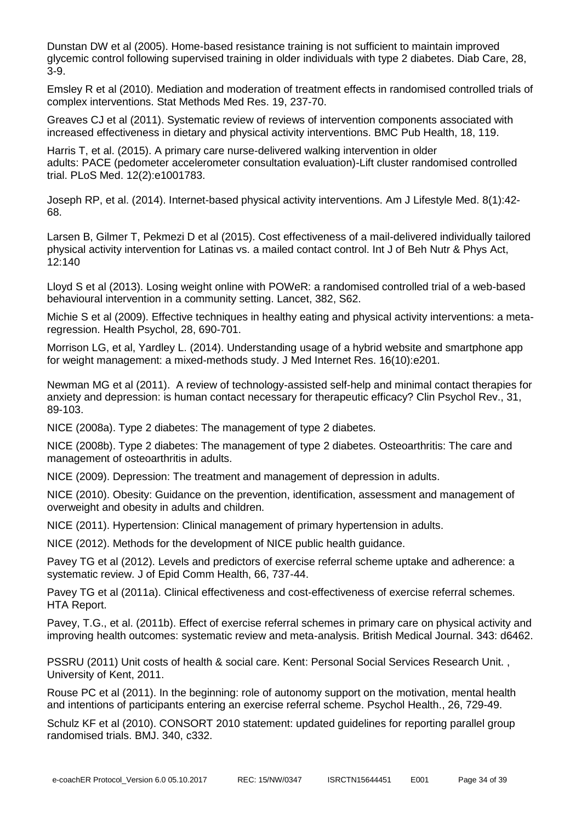[Dunstan DW](http://www.ncbi.nlm.nih.gov/pubmed?term=Dunstan%20DW%5BAuthor%5D&cauthor=true&cauthor_uid=15616225) et al (2005). Home-based resistance training is not sufficient to maintain improved glycemic control following supervised training in older individuals with type 2 diabetes. Diab Care, 28, 3-9.

Emsley R et al (2010). Mediation and moderation of treatment effects in randomised controlled trials of complex interventions. Stat Methods Med Res. 19, 237-70.

[Greaves CJ](http://www.ncbi.nlm.nih.gov/pubmed?term=Greaves%20CJ%5BAuthor%5D&cauthor=true&cauthor_uid=21333011) et al (2011). Systematic review of reviews of intervention components associated with increased effectiveness in dietary and physical activity interventions. BMC Pub Health, 18, 119.

Harris T, et al. (2015). A primary care nurse-delivered walking intervention in older adults: PACE (pedometer accelerometer consultation evaluation)-Lift cluster randomised controlled trial. PLoS Med. 12(2):e1001783.

Joseph RP, et al. (2014). Internet-based physical activity interventions. Am J Lifestyle Med. 8(1):42- 68.

Larsen B, Gilmer T, Pekmezi D et al (2015). Cost effectiveness of a mail-delivered individually tailored physical activity intervention for Latinas vs. a mailed contact control. Int J of Beh Nutr & Phys Act, 12:140

Lloyd S et al (2013). Losing weight online with POWeR: a randomised controlled trial of a web-based behavioural intervention in a community setting. Lancet, 382, S62.

Michie S et al (2009). [Effective techniques in healthy eating and physical activity interventions: a meta](http://www.ncbi.nlm.nih.gov/pubmed/19916637)[regression.](http://www.ncbi.nlm.nih.gov/pubmed/19916637) Health Psychol, 28, 690-701.

[Morrison](http://www.ncbi.nlm.nih.gov/pubmed/?term=Morrison%20LG%5BAuthor%5D&cauthor=true&cauthor_uid=25355131) LG, et al, [Yardley L.](http://www.ncbi.nlm.nih.gov/pubmed/?term=Yardley%20L%5BAuthor%5D&cauthor=true&cauthor_uid=25355131) (2014). Understanding usage of a hybrid website and smartphone app for weight management: a mixed-methods study. J Med Internet Res. 16(10):e201.

[Newman MG](http://www.ncbi.nlm.nih.gov/pubmed?term=Newman%20MG%5BAuthor%5D&cauthor=true&cauthor_uid=21095051) et al (2011). A review of technology-assisted self-help and minimal contact therapies for anxiety and depression: is human contact necessary for therapeutic efficacy? Clin Psychol Rev., 31, 89-103.

NICE (2008a). Type 2 diabetes: The management of type 2 diabetes.

NICE (2008b). Type 2 diabetes: The management of type 2 diabetes. Osteoarthritis: The care and management of osteoarthritis in adults.

NICE (2009). Depression: The treatment and management of depression in adults.

NICE (2010). Obesity: Guidance on the prevention, identification, assessment and management of overweight and obesity in adults and children.

NICE (2011). Hypertension: Clinical management of primary hypertension in adults.

NICE (2012). Methods for the development of NICE public health guidance.

Pavey TG et al (2012). Levels and predictors of exercise referral scheme uptake and adherence: a systematic review. J of Epid Comm Health, 66, 737-44.

Pavey TG et al (2011a). Clinical effectiveness and cost-effectiveness of exercise referral schemes. HTA Report.

Pavey, T.G., et al. (2011b). Effect of exercise referral schemes in primary care on physical activity and improving health outcomes: systematic review and meta-analysis. British Medical Journal. 343: d6462.

PSSRU (2011) Unit costs of health & social care. Kent: Personal Social Services Research Unit. , University of Kent, 2011.

[Rouse PC](http://www.ncbi.nlm.nih.gov/pubmed?term=Rouse%20PC%5BAuthor%5D&cauthor=true&cauthor_uid=21827332) et al (2011). In the beginning: role of autonomy support on the motivation, mental health and intentions of participants entering an exercise referral scheme. [Psychol Health.,](http://www.ncbi.nlm.nih.gov/pubmed/21827332) 26, 729-49.

Schulz KF et al (2010). CONSORT 2010 statement: updated guidelines for reporting parallel group randomised trials. BMJ. 340, c332.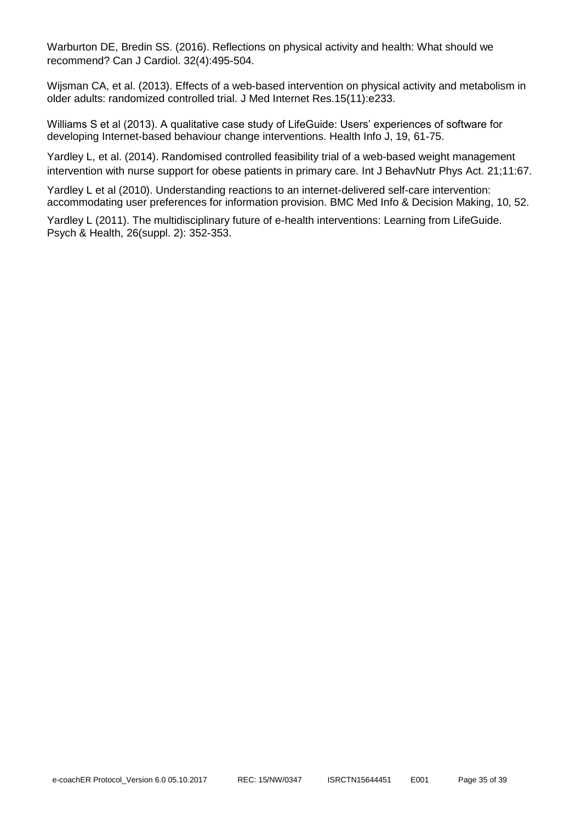Warburton DE, Bredin SS. (2016). Reflections on physical activity and health: What should we recommend? Can J Cardiol. 32(4):495-504.

Wijsman CA, et al. (2013). Effects of a web-based intervention on physical activity and metabolism in older adults: randomized controlled trial. J Med Internet Res.15(11):e233.

Williams S et al (2013). A qualitative case study of LifeGuide: Users' experiences of software for developing Internet-based behaviour change interventions. Health Info J, 19, 61-75.

Yardley L, et al. (2014). Randomised controlled feasibility trial of a web-based weight management intervention with nurse support for obese patients in primary care. Int J BehavNutr Phys Act. 21;11:67.

Yardley L et al (2010). Understanding reactions to an internet-delivered self-care intervention: accommodating user preferences for information provision. BMC Med Info & Decision Making, 10, 52.

Yardley L (2011). The multidisciplinary future of e-health interventions: Learning from LifeGuide. Psych & Health, 26(suppl. 2): 352-353.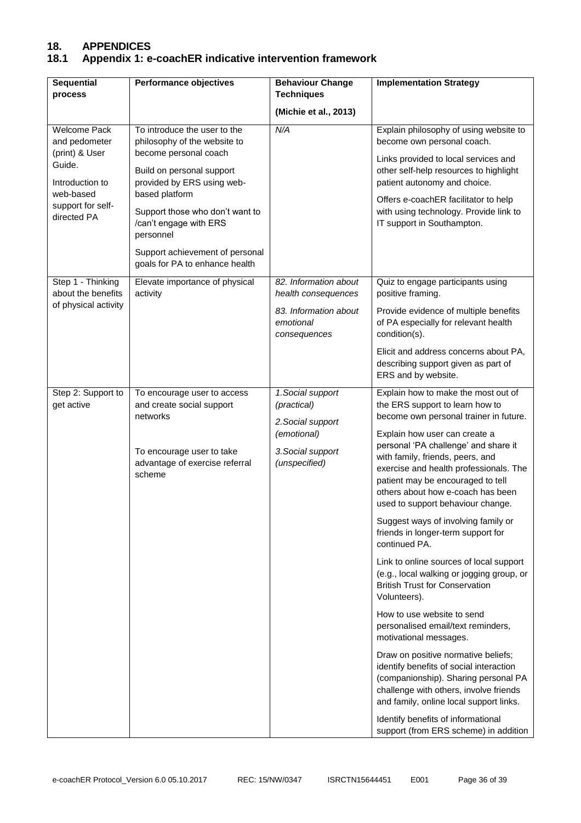# **18. APPENDICES**

# **18.1 Appendix 1: e-coachER indicative intervention framework**

| <b>Sequential</b><br>process                                                                                                         | <b>Performance objectives</b>                                                                                                                                                                                                                                                                                     | <b>Behaviour Change</b><br><b>Techniques</b>                                                              | <b>Implementation Strategy</b>                                                                                                                                                                                                                                                                                                                                                                                                                                                                                                                                                                                                                                                                                                                                                                                                                                                                                                                                                                                                    |
|--------------------------------------------------------------------------------------------------------------------------------------|-------------------------------------------------------------------------------------------------------------------------------------------------------------------------------------------------------------------------------------------------------------------------------------------------------------------|-----------------------------------------------------------------------------------------------------------|-----------------------------------------------------------------------------------------------------------------------------------------------------------------------------------------------------------------------------------------------------------------------------------------------------------------------------------------------------------------------------------------------------------------------------------------------------------------------------------------------------------------------------------------------------------------------------------------------------------------------------------------------------------------------------------------------------------------------------------------------------------------------------------------------------------------------------------------------------------------------------------------------------------------------------------------------------------------------------------------------------------------------------------|
|                                                                                                                                      |                                                                                                                                                                                                                                                                                                                   | (Michie et al., 2013)                                                                                     |                                                                                                                                                                                                                                                                                                                                                                                                                                                                                                                                                                                                                                                                                                                                                                                                                                                                                                                                                                                                                                   |
| <b>Welcome Pack</b><br>and pedometer<br>(print) & User<br>Guide.<br>Introduction to<br>web-based<br>support for self-<br>directed PA | To introduce the user to the<br>philosophy of the website to<br>become personal coach<br>Build on personal support<br>provided by ERS using web-<br>based platform<br>Support those who don't want to<br>/can't engage with ERS<br>personnel<br>Support achievement of personal<br>goals for PA to enhance health | N/A                                                                                                       | Explain philosophy of using website to<br>become own personal coach.<br>Links provided to local services and<br>other self-help resources to highlight<br>patient autonomy and choice.<br>Offers e-coachER facilitator to help<br>with using technology. Provide link to<br>IT support in Southampton.                                                                                                                                                                                                                                                                                                                                                                                                                                                                                                                                                                                                                                                                                                                            |
| Step 1 - Thinking<br>about the benefits<br>of physical activity                                                                      | Elevate importance of physical<br>activity                                                                                                                                                                                                                                                                        | 82. Information about<br>health consequences<br>83. Information about<br>emotional<br>consequences        | Quiz to engage participants using<br>positive framing.<br>Provide evidence of multiple benefits<br>of PA especially for relevant health<br>condition(s).<br>Elicit and address concerns about PA,<br>describing support given as part of<br>ERS and by website.                                                                                                                                                                                                                                                                                                                                                                                                                                                                                                                                                                                                                                                                                                                                                                   |
| Step 2: Support to<br>get active                                                                                                     | To encourage user to access<br>and create social support<br>networks<br>To encourage user to take<br>advantage of exercise referral<br>scheme                                                                                                                                                                     | 1.Social support<br>(practical)<br>2. Social support<br>(emotional)<br>3. Social support<br>(unspecified) | Explain how to make the most out of<br>the ERS support to learn how to<br>become own personal trainer in future.<br>Explain how user can create a<br>personal 'PA challenge' and share it<br>with family, friends, peers, and<br>exercise and health professionals. The<br>patient may be encouraged to tell<br>others about how e-coach has been<br>used to support behaviour change.<br>Suggest ways of involving family or<br>friends in longer-term support for<br>continued PA.<br>Link to online sources of local support<br>(e.g., local walking or jogging group, or<br><b>British Trust for Conservation</b><br>Volunteers).<br>How to use website to send<br>personalised email/text reminders,<br>motivational messages.<br>Draw on positive normative beliefs;<br>identify benefits of social interaction<br>(companionship). Sharing personal PA<br>challenge with others, involve friends<br>and family, online local support links.<br>Identify benefits of informational<br>support (from ERS scheme) in addition |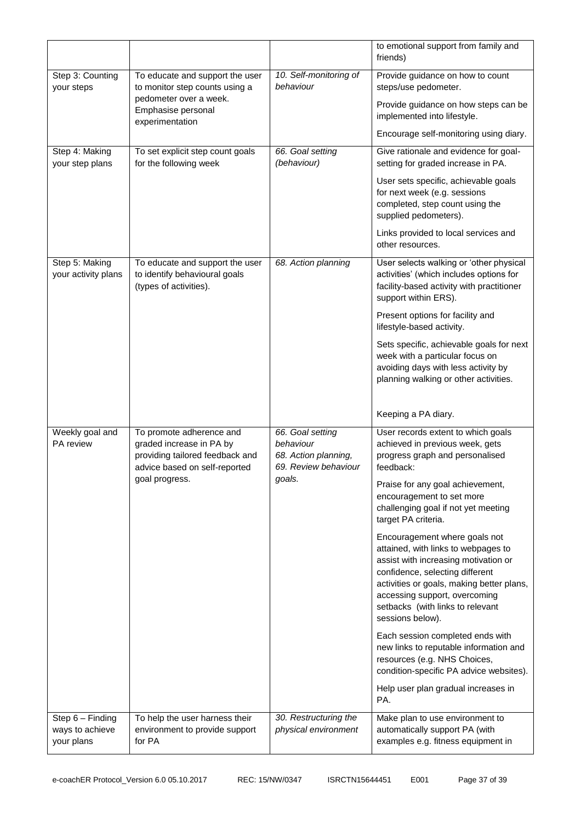|                                                   |                                                                                                                                            |                                                                                         | to emotional support from family and<br>friends)                                                                                                                                                                                                                                      |
|---------------------------------------------------|--------------------------------------------------------------------------------------------------------------------------------------------|-----------------------------------------------------------------------------------------|---------------------------------------------------------------------------------------------------------------------------------------------------------------------------------------------------------------------------------------------------------------------------------------|
| Step 3: Counting<br>your steps                    | To educate and support the user<br>to monitor step counts using a<br>pedometer over a week.<br>Emphasise personal<br>experimentation       | 10. Self-monitoring of<br>behaviour                                                     | Provide guidance on how to count<br>steps/use pedometer.                                                                                                                                                                                                                              |
|                                                   |                                                                                                                                            |                                                                                         | Provide guidance on how steps can be<br>implemented into lifestyle.                                                                                                                                                                                                                   |
|                                                   |                                                                                                                                            |                                                                                         | Encourage self-monitoring using diary.                                                                                                                                                                                                                                                |
| Step 4: Making<br>your step plans                 | To set explicit step count goals<br>for the following week                                                                                 | 66. Goal setting<br>(behaviour)                                                         | Give rationale and evidence for goal-<br>setting for graded increase in PA.                                                                                                                                                                                                           |
|                                                   |                                                                                                                                            |                                                                                         | User sets specific, achievable goals<br>for next week (e.g. sessions<br>completed, step count using the<br>supplied pedometers).                                                                                                                                                      |
|                                                   |                                                                                                                                            |                                                                                         | Links provided to local services and<br>other resources.                                                                                                                                                                                                                              |
| Step 5: Making<br>your activity plans             | To educate and support the user<br>to identify behavioural goals<br>(types of activities).                                                 | 68. Action planning                                                                     | User selects walking or 'other physical<br>activities' (which includes options for<br>facility-based activity with practitioner<br>support within ERS).                                                                                                                               |
|                                                   |                                                                                                                                            |                                                                                         | Present options for facility and<br>lifestyle-based activity.                                                                                                                                                                                                                         |
|                                                   |                                                                                                                                            |                                                                                         | Sets specific, achievable goals for next<br>week with a particular focus on<br>avoiding days with less activity by<br>planning walking or other activities.                                                                                                                           |
|                                                   |                                                                                                                                            |                                                                                         | Keeping a PA diary.                                                                                                                                                                                                                                                                   |
| Weekly goal and<br><b>PA</b> review               | To promote adherence and<br>graded increase in PA by<br>providing tailored feedback and<br>advice based on self-reported<br>goal progress. | 66. Goal setting<br>behaviour<br>68. Action planning,<br>69. Review behaviour<br>goals. | User records extent to which goals<br>achieved in previous week, gets<br>progress graph and personalised<br>feedback:<br>Praise for any goal achievement,<br>encouragement to set more<br>challenging goal if not yet meeting<br>target PA criteria.                                  |
|                                                   |                                                                                                                                            |                                                                                         | Encouragement where goals not<br>attained, with links to webpages to<br>assist with increasing motivation or<br>confidence, selecting different<br>activities or goals, making better plans,<br>accessing support, overcoming<br>setbacks (with links to relevant<br>sessions below). |
|                                                   |                                                                                                                                            |                                                                                         | Each session completed ends with<br>new links to reputable information and<br>resources (e.g. NHS Choices,<br>condition-specific PA advice websites).                                                                                                                                 |
|                                                   |                                                                                                                                            |                                                                                         | Help user plan gradual increases in<br>PA.                                                                                                                                                                                                                                            |
| Step 6 - Finding<br>ways to achieve<br>your plans | To help the user harness their<br>environment to provide support<br>for PA                                                                 | 30. Restructuring the<br>physical environment                                           | Make plan to use environment to<br>automatically support PA (with<br>examples e.g. fitness equipment in                                                                                                                                                                               |